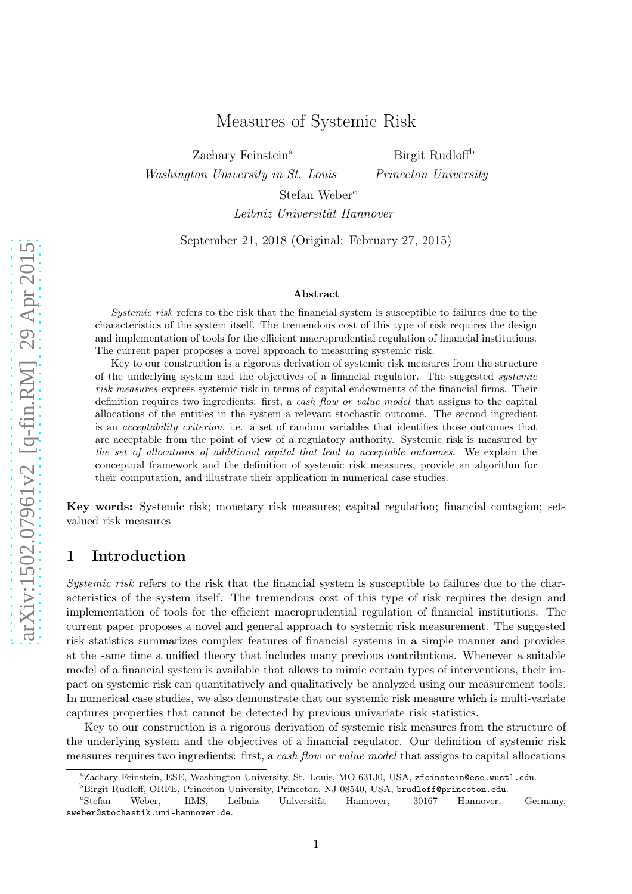Zachary Feinstein<sup>a</sup>

Washington University in St. Louis

Birgit Rudloff<sup>b</sup> Princeton University

Stefan Weber<sup>c</sup>

Leibniz Universität Hannover

September 21, 2018 (Original: February 27, 2015)

#### Abstract

Systemic risk refers to the risk that the financial system is susceptible to failures due to the characteristics of the system itself. The tremendous cost of this type of risk requires the design and implementation of tools for the efficient macroprudential regulation of financial institutions. The current paper proposes a novel approach to measuring systemic risk.

Key to our construction is a rigorous derivation of systemic risk measures from the structure of the underlying system and the objectives of a financial regulator. The suggested systemic risk measures express systemic risk in terms of capital endowments of the financial firms. Their definition requires two ingredients: first, a *cash flow or value model* that assigns to the capital allocations of the entities in the system a relevant stochastic outcome. The second ingredient is an acceptability criterion, i.e. a set of random variables that identifies those outcomes that are acceptable from the point of view of a regulatory authority. Systemic risk is measured by the set of allocations of additional capital that lead to acceptable outcomes. We explain the conceptual framework and the definition of systemic risk measures, provide an algorithm for their computation, and illustrate their application in numerical case studies.

Key words: Systemic risk; monetary risk measures; capital regulation; financial contagion; setvalued risk measures

### 1 Introduction

Systemic risk refers to the risk that the financial system is susceptible to failures due to the characteristics of the system itself. The tremendous cost of this type of risk requires the design and implementation of tools for the efficient macroprudential regulation of financial institutions. The current paper proposes a novel and general approach to systemic risk measurement. The suggested risk statistics summarizes complex features of financial systems in a simple manner and provides at the same time a unified theory that includes many previous contributions. Whenever a suitable model of a financial system is available that allows to mimic certain types of interventions, their impact on systemic risk can quantitatively and qualitatively be analyzed using our measurement tools. In numerical case studies, we also demonstrate that our systemic risk measure which is multi-variate captures properties that cannot be detected by previous univariate risk statistics.

Key to our construction is a rigorous derivation of systemic risk measures from the structure of the underlying system and the objectives of a financial regulator. Our definition of systemic risk measures requires two ingredients: first, a cash flow or value model that assigns to capital allocations

<sup>b</sup>Birgit Rudloff, ORFE, Princeton University, Princeton, NJ 08540, USA, brudloff@princeton.edu.

<sup>a</sup>Zachary Feinstein, ESE, Washington University, St. Louis, MO 63130, USA, zfeinstein@ese.wustl.edu.

<sup>c</sup>Stefan Weber, IfMS, Leibniz Universität Hannover, 30167 Hannover, Germany, sweber@stochastik.uni-hannover.de.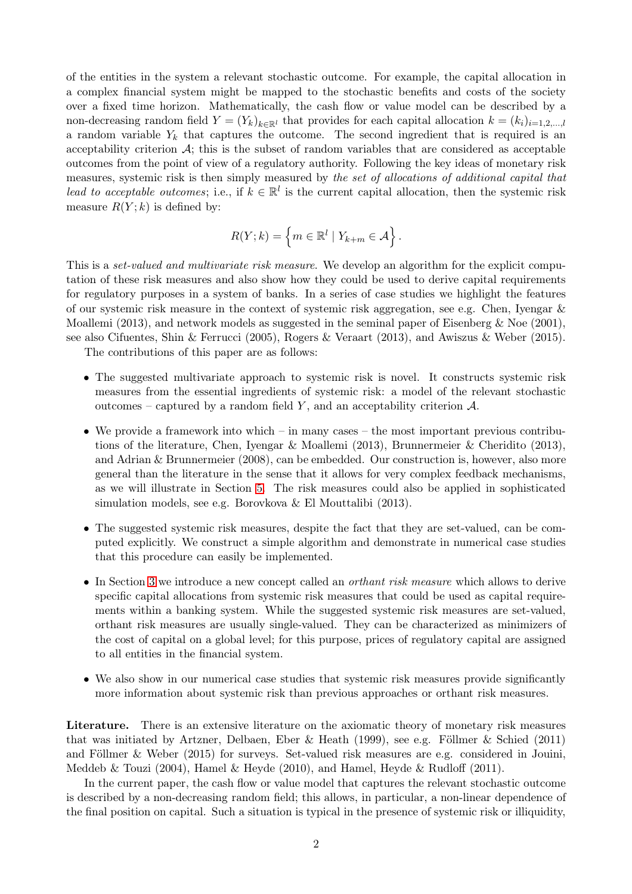of the entities in the system a relevant stochastic outcome. For example, the capital allocation in a complex financial system might be mapped to the stochastic benefits and costs of the society over a fixed time horizon. Mathematically, the cash flow or value model can be described by a non-decreasing random field  $Y = (Y_k)_{k \in \mathbb{R}^l}$  that provides for each capital allocation  $k = (k_i)_{i=1,2,\dots,l}$ a random variable  $Y_k$  that captures the outcome. The second ingredient that is required is an acceptability criterion  $A$ ; this is the subset of random variables that are considered as acceptable outcomes from the point of view of a regulatory authority. Following the key ideas of monetary risk measures, systemic risk is then simply measured by the set of allocations of additional capital that lead to acceptable outcomes; i.e., if  $k \in \mathbb{R}^l$  is the current capital allocation, then the systemic risk measure  $R(Y; k)$  is defined by:

$$
R(Y;k) = \left\{ m \in \mathbb{R}^l \mid Y_{k+m} \in \mathcal{A} \right\}.
$$

This is a *set-valued and multivariate risk measure*. We develop an algorithm for the explicit computation of these risk measures and also show how they could be used to derive capital requirements for regulatory purposes in a system of banks. In a series of case studies we highlight the features of our systemic risk measure in the context of systemic risk aggregation, see e.g. Chen, Iyengar & Moallemi (2013), and network models as suggested in the seminal paper of Eisenberg & Noe (2001), see also Cifuentes, Shin & Ferrucci (2005), Rogers & Veraart (2013), and Awiszus & Weber (2015).

The contributions of this paper are as follows:

- The suggested multivariate approach to systemic risk is novel. It constructs systemic risk measures from the essential ingredients of systemic risk: a model of the relevant stochastic outcomes – captured by a random field Y, and an acceptability criterion  $\mathcal{A}$ .
- We provide a framework into which in many cases the most important previous contributions of the literature, Chen, Iyengar & Moallemi (2013), Brunnermeier & Cheridito (2013), and Adrian & Brunnermeier (2008), can be embedded. Our construction is, however, also more general than the literature in the sense that it allows for very complex feedback mechanisms, as we will illustrate in Section [5.](#page-17-0) The risk measures could also be applied in sophisticated simulation models, see e.g. Borovkova & El Mouttalibi (2013).
- The suggested systemic risk measures, despite the fact that they are set-valued, can be computed explicitly. We construct a simple algorithm and demonstrate in numerical case studies that this procedure can easily be implemented.
- In Section [3](#page-9-0) we introduce a new concept called an *orthant risk measure* which allows to derive specific capital allocations from systemic risk measures that could be used as capital requirements within a banking system. While the suggested systemic risk measures are set-valued, orthant risk measures are usually single-valued. They can be characterized as minimizers of the cost of capital on a global level; for this purpose, prices of regulatory capital are assigned to all entities in the financial system.
- We also show in our numerical case studies that systemic risk measures provide significantly more information about systemic risk than previous approaches or orthant risk measures.

Literature. There is an extensive literature on the axiomatic theory of monetary risk measures that was initiated by Artzner, Delbaen, Eber & Heath (1999), see e.g. Föllmer & Schied (2011) and Föllmer & Weber (2015) for surveys. Set-valued risk measures are e.g. considered in Jouini, Meddeb & Touzi (2004), Hamel & Heyde (2010), and Hamel, Heyde & Rudloff (2011).

In the current paper, the cash flow or value model that captures the relevant stochastic outcome is described by a non-decreasing random field; this allows, in particular, a non-linear dependence of the final position on capital. Such a situation is typical in the presence of systemic risk or illiquidity,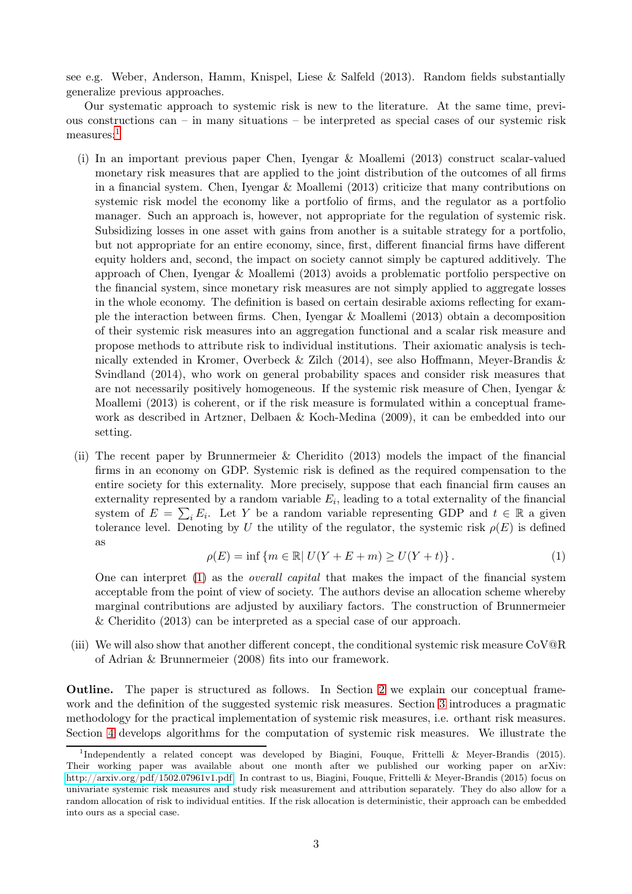see e.g. Weber, Anderson, Hamm, Knispel, Liese & Salfeld (2013). Random fields substantially generalize previous approaches.

Our systematic approach to systemic risk is new to the literature. At the same time, previous constructions can – in many situations – be interpreted as special cases of our systemic risk measures:<sup>[1](#page-2-0)</sup>

- (i) In an important previous paper Chen, Iyengar & Moallemi (2013) construct scalar-valued monetary risk measures that are applied to the joint distribution of the outcomes of all firms in a financial system. Chen, Iyengar & Moallemi (2013) criticize that many contributions on systemic risk model the economy like a portfolio of firms, and the regulator as a portfolio manager. Such an approach is, however, not appropriate for the regulation of systemic risk. Subsidizing losses in one asset with gains from another is a suitable strategy for a portfolio, but not appropriate for an entire economy, since, first, different financial firms have different equity holders and, second, the impact on society cannot simply be captured additively. The approach of Chen, Iyengar & Moallemi (2013) avoids a problematic portfolio perspective on the financial system, since monetary risk measures are not simply applied to aggregate losses in the whole economy. The definition is based on certain desirable axioms reflecting for example the interaction between firms. Chen, Iyengar & Moallemi (2013) obtain a decomposition of their systemic risk measures into an aggregation functional and a scalar risk measure and propose methods to attribute risk to individual institutions. Their axiomatic analysis is technically extended in Kromer, Overbeck & Zilch (2014), see also Hoffmann, Meyer-Brandis & Svindland (2014), who work on general probability spaces and consider risk measures that are not necessarily positively homogeneous. If the systemic risk measure of Chen, Iyengar & Moallemi (2013) is coherent, or if the risk measure is formulated within a conceptual framework as described in Artzner, Delbaen & Koch-Medina (2009), it can be embedded into our setting.
- (ii) The recent paper by Brunnermeier & Cheridito (2013) models the impact of the financial firms in an economy on GDP. Systemic risk is defined as the required compensation to the entire society for this externality. More precisely, suppose that each financial firm causes an externality represented by a random variable  $E_i$ , leading to a total externality of the financial system of  $E = \sum_i E_i$ . Let Y be a random variable representing GDP and  $t \in \mathbb{R}$  a given tolerance level. Denoting by U the utility of the regulator, the systemic risk  $\rho(E)$  is defined as

$$
\rho(E) = \inf \{ m \in \mathbb{R} | U(Y + E + m) \ge U(Y + t) \}.
$$
 (1)

<span id="page-2-1"></span>One can interpret [\(1\)](#page-2-1) as the overall capital that makes the impact of the financial system acceptable from the point of view of society. The authors devise an allocation scheme whereby marginal contributions are adjusted by auxiliary factors. The construction of Brunnermeier & Cheridito (2013) can be interpreted as a special case of our approach.

(iii) We will also show that another different concept, the conditional systemic risk measure CoV@R of Adrian & Brunnermeier (2008) fits into our framework.

Outline. The paper is structured as follows. In Section [2](#page-3-0) we explain our conceptual framework and the definition of the suggested systemic risk measures. Section [3](#page-9-0) introduces a pragmatic methodology for the practical implementation of systemic risk measures, i.e. orthant risk measures. Section [4](#page-14-0) develops algorithms for the computation of systemic risk measures. We illustrate the

<span id="page-2-0"></span><sup>&</sup>lt;sup>1</sup>Independently a related concept was developed by Biagini, Fouque, Frittelli & Meyer-Brandis (2015). Their working paper was available about one month after we published our working paper on arXiv: [http://arxiv.org/pdf/1502.07961v1.pdf.](http://arxiv.org/pdf/1502.07961v1.pdf) In contrast to us, Biagini, Fouque, Frittelli & Meyer-Brandis (2015) focus on univariate systemic risk measures and study risk measurement and attribution separately. They do also allow for a random allocation of risk to individual entities. If the risk allocation is deterministic, their approach can be embedded into ours as a special case.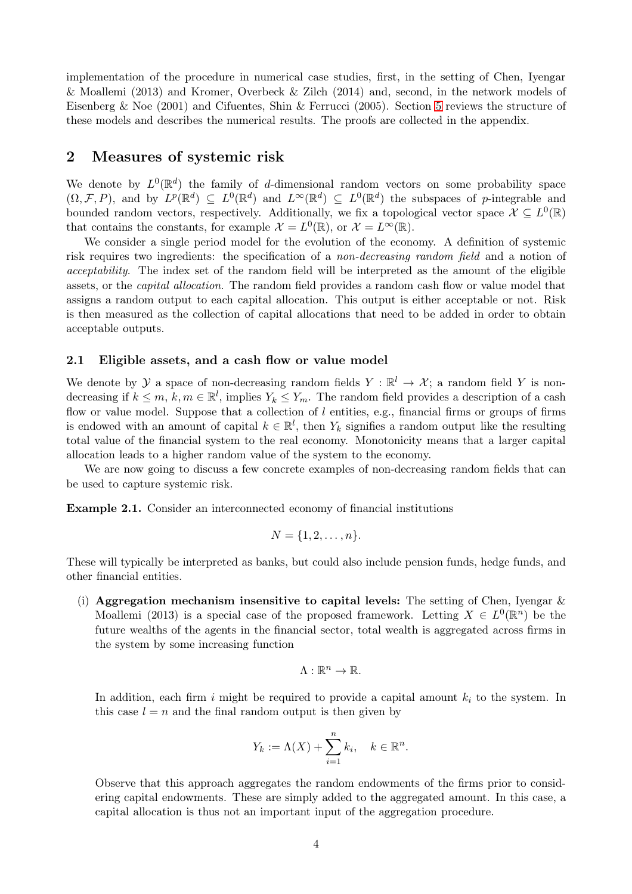implementation of the procedure in numerical case studies, first, in the setting of Chen, Iyengar & Moallemi (2013) and Kromer, Overbeck & Zilch (2014) and, second, in the network models of Eisenberg & Noe (2001) and Cifuentes, Shin & Ferrucci (2005). Section [5](#page-17-0) reviews the structure of these models and describes the numerical results. The proofs are collected in the appendix.

## <span id="page-3-0"></span>2 Measures of systemic risk

We denote by  $L^0(\mathbb{R}^d)$  the family of d-dimensional random vectors on some probability space  $(\Omega, \mathcal{F}, P)$ , and by  $L^p(\mathbb{R}^d) \subseteq L^0(\mathbb{R}^d)$  and  $L^{\infty}(\mathbb{R}^d) \subseteq L^0(\mathbb{R}^d)$  the subspaces of p-integrable and bounded random vectors, respectively. Additionally, we fix a topological vector space  $\mathcal{X} \subseteq L^0(\mathbb{R})$ that contains the constants, for example  $\mathcal{X} = L^0(\mathbb{R})$ , or  $\mathcal{X} = L^{\infty}(\mathbb{R})$ .

We consider a single period model for the evolution of the economy. A definition of systemic risk requires two ingredients: the specification of a non-decreasing random field and a notion of acceptability. The index set of the random field will be interpreted as the amount of the eligible assets, or the capital allocation. The random field provides a random cash flow or value model that assigns a random output to each capital allocation. This output is either acceptable or not. Risk is then measured as the collection of capital allocations that need to be added in order to obtain acceptable outputs.

#### <span id="page-3-2"></span>2.1 Eligible assets, and a cash flow or value model

We denote by  $\mathcal Y$  a space of non-decreasing random fields  $Y : \mathbb R^l \to \mathcal X$ ; a random field Y is nondecreasing if  $k \leq m$ ,  $k, m \in \mathbb{R}^l$ , implies  $Y_k \leq Y_m$ . The random field provides a description of a cash flow or value model. Suppose that a collection of  $l$  entities, e.g., financial firms or groups of firms is endowed with an amount of capital  $k \in \mathbb{R}^l$ , then  $Y_k$  signifies a random output like the resulting total value of the financial system to the real economy. Monotonicity means that a larger capital allocation leads to a higher random value of the system to the economy.

<span id="page-3-1"></span>We are now going to discuss a few concrete examples of non-decreasing random fields that can be used to capture systemic risk.

Example 2.1. Consider an interconnected economy of financial institutions

$$
N = \{1, 2, \ldots, n\}.
$$

These will typically be interpreted as banks, but could also include pension funds, hedge funds, and other financial entities.

(i) Aggregation mechanism insensitive to capital levels: The setting of Chen, Iyengar  $\&$ Moallemi (2013) is a special case of the proposed framework. Letting  $X \in L^0(\mathbb{R}^n)$  be the future wealths of the agents in the financial sector, total wealth is aggregated across firms in the system by some increasing function

$$
\Lambda:\mathbb{R}^n\to\mathbb{R}.
$$

In addition, each firm i might be required to provide a capital amount  $k_i$  to the system. In this case  $l = n$  and the final random output is then given by

$$
Y_k := \Lambda(X) + \sum_{i=1}^n k_i, \quad k \in \mathbb{R}^n.
$$

Observe that this approach aggregates the random endowments of the firms prior to considering capital endowments. These are simply added to the aggregated amount. In this case, a capital allocation is thus not an important input of the aggregation procedure.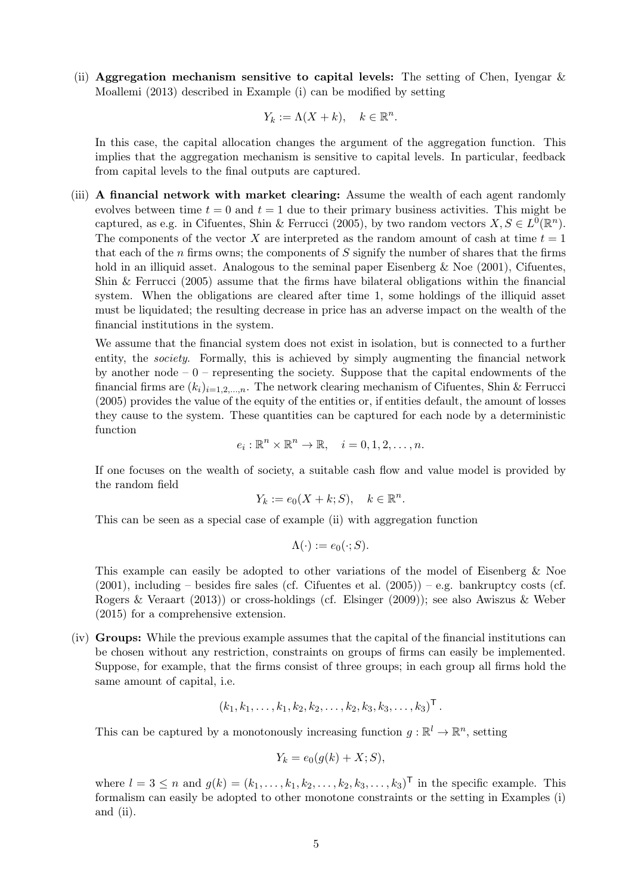(ii) Aggregation mechanism sensitive to capital levels: The setting of Chen, Ivengar  $\&$ Moallemi (2013) described in Example (i) can be modified by setting

$$
Y_k := \Lambda(X + k), \quad k \in \mathbb{R}^n.
$$

In this case, the capital allocation changes the argument of the aggregation function. This implies that the aggregation mechanism is sensitive to capital levels. In particular, feedback from capital levels to the final outputs are captured.

(iii) A financial network with market clearing: Assume the wealth of each agent randomly evolves between time  $t = 0$  and  $t = 1$  due to their primary business activities. This might be captured, as e.g. in Cifuentes, Shin & Ferrucci (2005), by two random vectors  $X, S \in L^{0}(\mathbb{R}^{n})$ . The components of the vector X are interpreted as the random amount of cash at time  $t = 1$ that each of the n firms owns; the components of S signify the number of shares that the firms hold in an illiquid asset. Analogous to the seminal paper Eisenberg & Noe (2001), Cifuentes, Shin & Ferrucci (2005) assume that the firms have bilateral obligations within the financial system. When the obligations are cleared after time 1, some holdings of the illiquid asset must be liquidated; the resulting decrease in price has an adverse impact on the wealth of the financial institutions in the system.

We assume that the financial system does not exist in isolation, but is connected to a further entity, the *society*. Formally, this is achieved by simply augmenting the financial network by another node  $-0$  – representing the society. Suppose that the capital endowments of the financial firms are  $(k_i)_{i=1,2,...,n}$ . The network clearing mechanism of Cifuentes, Shin & Ferrucci (2005) provides the value of the equity of the entities or, if entities default, the amount of losses they cause to the system. These quantities can be captured for each node by a deterministic function

$$
e_i: \mathbb{R}^n \times \mathbb{R}^n \to \mathbb{R}, \quad i = 0, 1, 2, \dots, n.
$$

If one focuses on the wealth of society, a suitable cash flow and value model is provided by the random field

$$
Y_k := e_0(X + k; S), \quad k \in \mathbb{R}^n.
$$

This can be seen as a special case of example (ii) with aggregation function

$$
\Lambda(\cdot):=e_0(\cdot;S).
$$

This example can easily be adopted to other variations of the model of Eisenberg & Noe  $(2001)$ , including – besides fire sales (cf. Cifuentes et al.  $(2005)$ ) – e.g. bankruptcy costs (cf. Rogers & Veraart (2013)) or cross-holdings (cf. Elsinger (2009)); see also Awiszus & Weber (2015) for a comprehensive extension.

(iv) Groups: While the previous example assumes that the capital of the financial institutions can be chosen without any restriction, constraints on groups of firms can easily be implemented. Suppose, for example, that the firms consist of three groups; in each group all firms hold the same amount of capital, i.e.

$$
(k_1, k_1, \ldots, k_1, k_2, k_2, \ldots, k_2, k_3, k_3, \ldots, k_3)^{\mathsf{T}}
$$
.

This can be captured by a monotonously increasing function  $g : \mathbb{R}^l \to \mathbb{R}^n$ , setting

$$
Y_k = e_0(g(k) + X; S),
$$

where  $l = 3 \leq n$  and  $g(k) = (k_1, \ldots, k_1, k_2, \ldots, k_2, k_3, \ldots, k_3)^\mathsf{T}$  in the specific example. This formalism can easily be adopted to other monotone constraints or the setting in Examples (i) and (ii).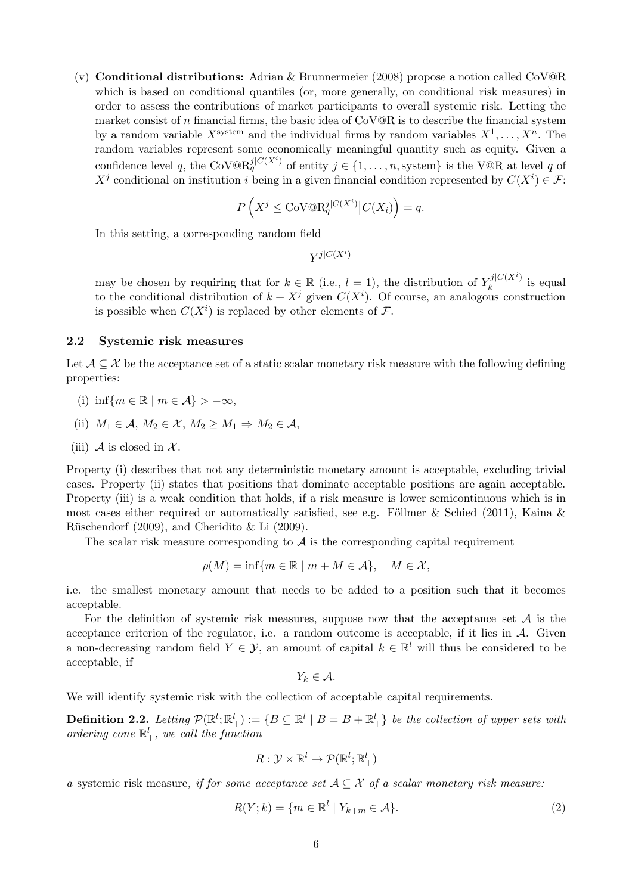(v) **Conditional distributions:** Adrian & Brunnermeier (2008) propose a notion called  $CoV@R$ which is based on conditional quantiles (or, more generally, on conditional risk measures) in order to assess the contributions of market participants to overall systemic risk. Letting the market consist of n financial firms, the basic idea of  $\text{CoV@R}$  is to describe the financial system by a random variable  $X^{\text{system}}$  and the individual firms by random variables  $X^1, \ldots, X^n$ . The random variables represent some economically meaningful quantity such as equity. Given a confidence level q, the CoV $\mathbb{Q}R_q^{j|C(X^i)}$  of entity  $j \in \{1,\ldots,n,$  system} is the V $\mathbb{Q}R$  at level q of  $X^j$  conditional on institution i being in a given financial condition represented by  $C(X^i) \in \mathcal{F}$ :

$$
P\left(X^j \leq \mathrm{CoV}@R_q^{j|C(X^i)}\big|C(X_i)\right) = q.
$$

In this setting, a corresponding random field

$$
Y^{j\mid C(X^i)}
$$

may be chosen by requiring that for  $k \in \mathbb{R}$  (i.e.,  $l = 1$ ), the distribution of  $Y_k^{j|C(X^i)}$  $\int_k^{\mathcal{U}[\mathcal{O}(A)]}$  is equal to the conditional distribution of  $k + X^j$  given  $C(X^i)$ . Of course, an analogous construction is possible when  $C(X<sup>i</sup>)$  is replaced by other elements of  $\mathcal{F}$ .

#### 2.2 Systemic risk measures

Let  $\mathcal{A} \subseteq \mathcal{X}$  be the acceptance set of a static scalar monetary risk measure with the following defining properties:

- (i) inf{ $m \in \mathbb{R} \mid m \in \mathcal{A}$ } > - $\infty$ ,
- (ii)  $M_1 \in \mathcal{A}, M_2 \in \mathcal{X}, M_2 \geq M_1 \Rightarrow M_2 \in \mathcal{A},$
- (iii) A is closed in  $\mathcal{X}$ .

Property (i) describes that not any deterministic monetary amount is acceptable, excluding trivial cases. Property (ii) states that positions that dominate acceptable positions are again acceptable. Property (iii) is a weak condition that holds, if a risk measure is lower semicontinuous which is in most cases either required or automatically satisfied, see e.g. Föllmer & Schied (2011), Kaina & Rüschendorf (2009), and Cheridito & Li (2009).

The scalar risk measure corresponding to  $A$  is the corresponding capital requirement

$$
\rho(M) = \inf \{ m \in \mathbb{R} \mid m + M \in \mathcal{A} \}, \quad M \in \mathcal{X},
$$

i.e. the smallest monetary amount that needs to be added to a position such that it becomes acceptable.

For the definition of systemic risk measures, suppose now that the acceptance set  $A$  is the acceptance criterion of the regulator, i.e. a random outcome is acceptable, if it lies in  $A$ . Given a non-decreasing random field  $Y \in \mathcal{Y}$ , an amount of capital  $k \in \mathbb{R}^l$  will thus be considered to be acceptable, if

<span id="page-5-1"></span>
$$
Y_k\in\mathcal{A}.
$$

<span id="page-5-0"></span>We will identify systemic risk with the collection of acceptable capital requirements.

**Definition 2.2.** Letting  $\mathcal{P}(\mathbb{R}^l; \mathbb{R}^l_+) := \{B \subseteq \mathbb{R}^l \mid B = B + \mathbb{R}^l_+\}$  be the collection of upper sets with ordering cone  $\mathbb{R}^l_+$ , we call the function

$$
R: \mathcal{Y} \times \mathbb{R}^l \to \mathcal{P}(\mathbb{R}^l;\mathbb{R}^l_+)
$$

a systemic risk measure, if for some acceptance set  $A \subseteq \mathcal{X}$  of a scalar monetary risk measure:

$$
R(Y; k) = \{ m \in \mathbb{R}^l \mid Y_{k+m} \in \mathcal{A} \}.
$$
 (2)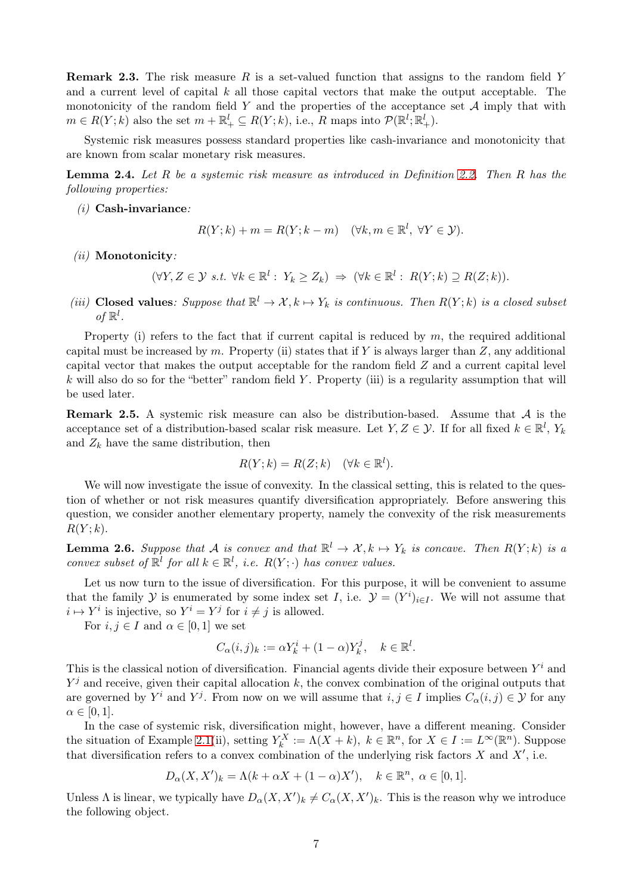**Remark 2.3.** The risk measure R is a set-valued function that assigns to the random field Y and a current level of capital k all those capital vectors that make the output acceptable. The monotonicity of the random field Y and the properties of the acceptance set  $A$  imply that with  $m \in R(Y; k)$  also the set  $m + \mathbb{R}^l_+ \subseteq R(Y; k)$ , i.e., R maps into  $\mathcal{P}(\mathbb{R}^l; \mathbb{R}^l_+)$ .

<span id="page-6-0"></span>Systemic risk measures possess standard properties like cash-invariance and monotonicity that are known from scalar monetary risk measures.

Lemma 2.4. Let R be a systemic risk measure as introduced in Definition [2.2.](#page-5-0) Then R has the following properties:

 $(i)$  Cash-invariance:

$$
R(Y;k) + m = R(Y;k-m) \quad (\forall k, m \in \mathbb{R}^l, \ \forall Y \in \mathcal{Y}).
$$

- $(ii)$  Monotonicity:
	- $(\forall Y, Z \in \mathcal{Y} \text{ s.t. } \forall k \in \mathbb{R}^l : Y_k \ge Z_k) \Rightarrow (\forall k \in \mathbb{R}^l : R(Y; k) \supseteq R(Z; k)).$
- (iii) Closed values: Suppose that  $\mathbb{R}^l \to \mathcal{X}, k \mapsto Y_k$  is continuous. Then  $R(Y; k)$  is a closed subset of  $\mathbb{R}^l$ .

Property (i) refers to the fact that if current capital is reduced by  $m$ , the required additional capital must be increased by m. Property (ii) states that if Y is always larger than  $Z$ , any additional capital vector that makes the output acceptable for the random field  $Z$  and a current capital level  $k$  will also do so for the "better" random field Y. Property (iii) is a regularity assumption that will be used later.

**Remark 2.5.** A systemic risk measure can also be distribution-based. Assume that  $A$  is the acceptance set of a distribution-based scalar risk measure. Let  $Y, Z \in \mathcal{Y}$ . If for all fixed  $k \in \mathbb{R}^l$ ,  $Y_k$ and  $Z_k$  have the same distribution, then

$$
R(Y; k) = R(Z; k) \quad (\forall k \in \mathbb{R}^l).
$$

We will now investigate the issue of convexity. In the classical setting, this is related to the question of whether or not risk measures quantify diversification appropriately. Before answering this question, we consider another elementary property, namely the convexity of the risk measurements  $R(Y; k)$ .

<span id="page-6-1"></span>**Lemma 2.6.** Suppose that A is convex and that  $\mathbb{R}^l \to \mathcal{X}, k \mapsto Y_k$  is concave. Then  $R(Y; k)$  is a convex subset of  $\mathbb{R}^l$  for all  $k \in \mathbb{R}^l$ , i.e.  $R(Y; \cdot)$  has convex values.

Let us now turn to the issue of diversification. For this purpose, it will be convenient to assume that the family  $\mathcal Y$  is enumerated by some index set I, i.e.  $\mathcal Y = (Y^i)_{i \in I}$ . We will not assume that  $i \mapsto Y^i$  is injective, so  $Y^i = Y^j$  for  $i \neq j$  is allowed.

For  $i, j \in I$  and  $\alpha \in [0, 1]$  we set

$$
C_{\alpha}(i,j)_k := \alpha Y_k^i + (1-\alpha)Y_k^j, \quad k \in \mathbb{R}^l.
$$

This is the classical notion of diversification. Financial agents divide their exposure between  $Y^i$  and  $Y^j$  and receive, given their capital allocation k, the convex combination of the original outputs that are governed by  $Y^i$  and  $Y^j$ . From now on we will assume that  $i, j \in I$  implies  $C_\alpha(i,j) \in \mathcal{Y}$  for any  $\alpha \in [0,1].$ 

In the case of systemic risk, diversification might, however, have a different meaning. Consider the situation of Example [2.1\(](#page-3-1)ii), setting  $Y_k^X := \Lambda(X + k)$ ,  $k \in \mathbb{R}^n$ , for  $X \in I := L^\infty(\mathbb{R}^n)$ . Suppose that diversification refers to a convex combination of the underlying risk factors  $X$  and  $X'$ , i.e.

$$
D_{\alpha}(X, X')_k = \Lambda(k + \alpha X + (1 - \alpha)X'), \quad k \in \mathbb{R}^n, \ \alpha \in [0, 1].
$$

Unless  $\Lambda$  is linear, we typically have  $D_{\alpha}(X, X')_k \neq C_{\alpha}(X, X')_k$ . This is the reason why we introduce the following object.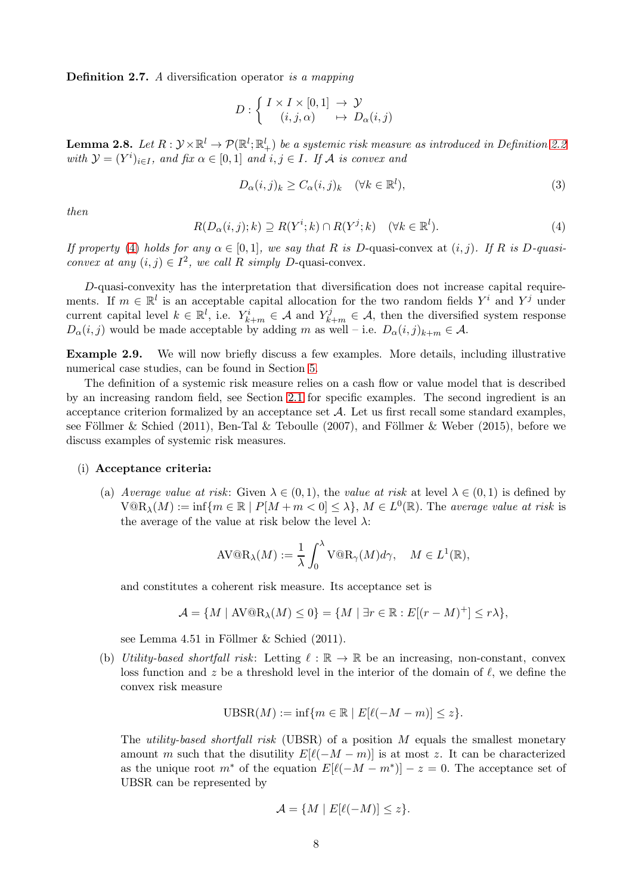Definition 2.7. A diversification operator is a mapping

$$
D: \left\{ \begin{array}{ccc} I \times I \times [0,1] & \to \mathcal{Y} \\ (i,j,\alpha) & \mapsto \ D_\alpha(i,j) \end{array} \right.
$$

<span id="page-7-1"></span>**Lemma 2.8.** Let  $R:\mathcal{Y}\times\mathbb{R}^l\to\mathcal{P}(\mathbb{R}^l;\mathbb{R}^l_+)$  be a systemic risk measure as introduced in Definition [2.2](#page-5-0) with  $\mathcal{Y} = (Y^i)_{i \in I}$ , and fix  $\alpha \in [0, 1]$  and  $i, j \in I$ . If A is convex and

<span id="page-7-3"></span>
$$
D_{\alpha}(i,j)_{k} \ge C_{\alpha}(i,j)_{k} \quad (\forall k \in \mathbb{R}^{l}),
$$
\n(3)

<span id="page-7-0"></span>then

$$
R(D_{\alpha}(i,j);k) \supseteq R(Y^i;k) \cap R(Y^j;k) \quad (\forall k \in \mathbb{R}^l). \tag{4}
$$

If property [\(4\)](#page-7-0) holds for any  $\alpha \in [0,1]$ , we say that R is D-quasi-convex at  $(i, j)$ . If R is D-quasiconvex at any  $(i, j) \in I^2$ , we call R simply D-quasi-convex.

D-quasi-convexity has the interpretation that diversification does not increase capital requirements. If  $m \in \mathbb{R}^l$  is an acceptable capital allocation for the two random fields  $Y^i$  and  $Y^j$  under current capital level  $k \in \mathbb{R}^l$ , i.e.  $Y_{k+m}^i \in \mathcal{A}$  and  $Y_{k+m}^j \in \mathcal{A}$ , then the diversified system response  $D_{\alpha}(i, j)$  would be made acceptable by adding m as well – i.e.  $D_{\alpha}(i, j)_{k+m} \in \mathcal{A}$ .

<span id="page-7-2"></span>Example 2.9. We will now briefly discuss a few examples. More details, including illustrative numerical case studies, can be found in Section [5.](#page-17-0)

The definition of a systemic risk measure relies on a cash flow or value model that is described by an increasing random field, see Section [2.1](#page-3-2) for specific examples. The second ingredient is an acceptance criterion formalized by an acceptance set  $A$ . Let us first recall some standard examples, see Föllmer & Schied (2011), Ben-Tal & Teboulle (2007), and Föllmer & Weber (2015), before we discuss examples of systemic risk measures.

#### (i) Acceptance criteria:

(a) Average value at risk: Given  $\lambda \in (0,1)$ , the value at risk at level  $\lambda \in (0,1)$  is defined by  $V@R_{\lambda}(M) := \inf \{m \in \mathbb{R} \mid P[M+m<0] \leq \lambda\}, M \in L^{0}(\mathbb{R})$ . The average value at risk is the average of the value at risk below the level  $\lambda$ :

$$
AV@R_{\lambda}(M) := \frac{1}{\lambda} \int_0^{\lambda} V@R_{\gamma}(M)d\gamma, \quad M \in L^1(\mathbb{R}),
$$

and constitutes a coherent risk measure. Its acceptance set is

$$
\mathcal{A} = \{ M \mid \text{AV@R}_{\lambda}(M) \leq 0 \} = \{ M \mid \exists r \in \mathbb{R} : E[(r - M)^+] \leq r\lambda \},
$$

see Lemma 4.51 in Föllmer & Schied (2011).

(b) Utility-based shortfall risk: Letting  $\ell : \mathbb{R} \to \mathbb{R}$  be an increasing, non-constant, convex loss function and z be a threshold level in the interior of the domain of  $\ell$ , we define the convex risk measure

$$
\text{UBSR}(M) := \inf \{ m \in \mathbb{R} \mid E[\ell(-M - m)] \le z \}.
$$

The *utility-based shortfall risk* (UBSR) of a position  $M$  equals the smallest monetary amount m such that the disutility  $E[\ell(-M-m)]$  is at most z. It can be characterized as the unique root  $m^*$  of the equation  $E[\ell(-M-m^*)]-z=0$ . The acceptance set of UBSR can be represented by

$$
\mathcal{A} = \{ M \mid E[\ell(-M)] \le z \}.
$$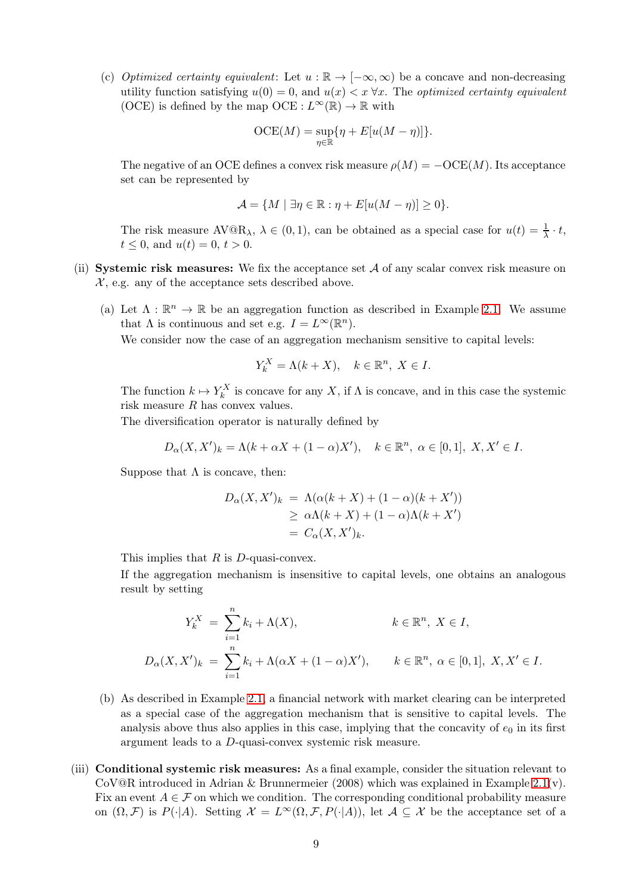(c) Optimized certainty equivalent: Let  $u : \mathbb{R} \to [-\infty, \infty)$  be a concave and non-decreasing utility function satisfying  $u(0) = 0$ , and  $u(x) < x \forall x$ . The *optimized certainty equivalent* (OCE) is defined by the map OCE :  $L^{\infty}(\mathbb{R}) \to \mathbb{R}$  with

$$
\mathrm{OCE}(M) = \sup_{\eta \in \mathbb{R}} \{ \eta + E[u(M-\eta)] \}.
$$

The negative of an OCE defines a convex risk measure  $\rho(M) = -OCE(M)$ . Its acceptance set can be represented by

$$
\mathcal{A} = \{ M \mid \exists \eta \in \mathbb{R} : \eta + E[u(M - \eta)] \ge 0 \}.
$$

The risk measure  $AV@R_\lambda$ ,  $\lambda \in (0,1)$ , can be obtained as a special case for  $u(t) = \frac{1}{\lambda} \cdot t$ ,  $t \leq 0$ , and  $u(t) = 0$ ,  $t > 0$ .

- (ii) Systemic risk measures: We fix the acceptance set  $A$  of any scalar convex risk measure on  $\mathcal{X}$ , e.g. any of the acceptance sets described above.
	- (a) Let  $\Lambda : \mathbb{R}^n \to \mathbb{R}$  be an aggregation function as described in Example [2.1.](#page-3-1) We assume that  $\Lambda$  is continuous and set e.g.  $I = L^{\infty}(\mathbb{R}^n)$ .

We consider now the case of an aggregation mechanism sensitive to capital levels:

$$
Y_k^X = \Lambda(k + X), \quad k \in \mathbb{R}^n, \ X \in I.
$$

The function  $k \mapsto Y_k^X$  is concave for any X, if  $\Lambda$  is concave, and in this case the systemic risk measure R has convex values.

The diversification operator is naturally defined by

$$
D_{\alpha}(X, X')_k = \Lambda(k + \alpha X + (1 - \alpha)X'), \quad k \in \mathbb{R}^n, \ \alpha \in [0, 1], \ X, X' \in I.
$$

Suppose that  $\Lambda$  is concave, then:

$$
D_{\alpha}(X, X')_k = \Lambda(\alpha(k+X) + (1-\alpha)(k+X'))
$$
  
\n
$$
\geq \alpha\Lambda(k+X) + (1-\alpha)\Lambda(k+X')
$$
  
\n
$$
= C_{\alpha}(X, X')_k.
$$

This implies that  $R$  is  $D$ -quasi-convex.

If the aggregation mechanism is insensitive to capital levels, one obtains an analogous result by setting

$$
Y_k^X = \sum_{i=1}^n k_i + \Lambda(X), \qquad k \in \mathbb{R}^n, \ X \in I,
$$
  

$$
D_{\alpha}(X, X')_k = \sum_{i=1}^n k_i + \Lambda(\alpha X + (1 - \alpha)X'), \qquad k \in \mathbb{R}^n, \ \alpha \in [0, 1], \ X, X' \in I.
$$

- (b) As described in Example [2.1,](#page-3-1) a financial network with market clearing can be interpreted as a special case of the aggregation mechanism that is sensitive to capital levels. The analysis above thus also applies in this case, implying that the concavity of  $e_0$  in its first argument leads to a D-quasi-convex systemic risk measure.
- (iii) Conditional systemic risk measures: As a final example, consider the situation relevant to CoV@R introduced in Adrian & Brunnermeier (2008) which was explained in Example [2.1\(](#page-3-1)v). Fix an event  $A \in \mathcal{F}$  on which we condition. The corresponding conditional probability measure on  $(\Omega, \mathcal{F})$  is  $P(\cdot|A)$ . Setting  $\mathcal{X} = L^{\infty}(\Omega, \mathcal{F}, P(\cdot|A))$ , let  $\mathcal{A} \subseteq \mathcal{X}$  be the acceptance set of a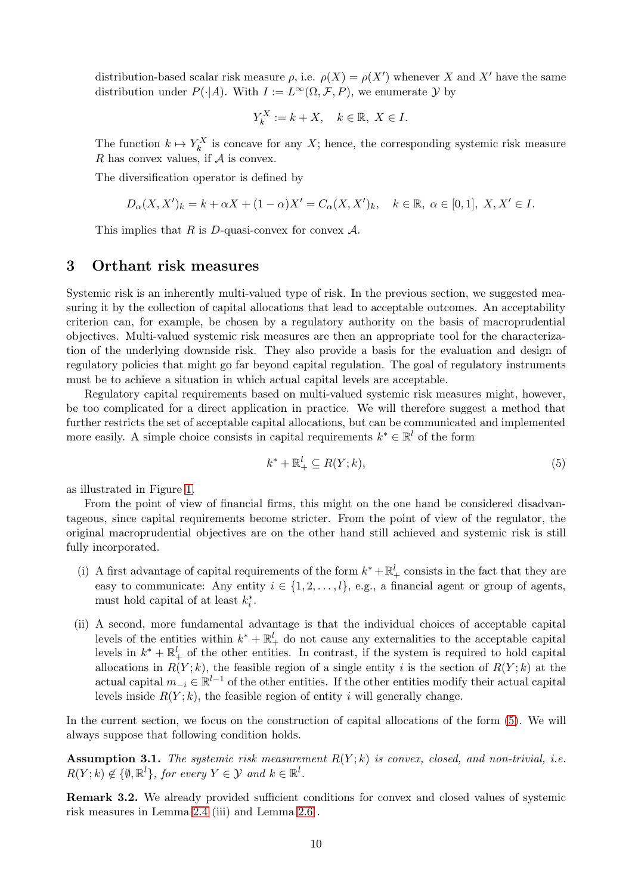distribution-based scalar risk measure  $\rho$ , i.e.  $\rho(X) = \rho(X')$  whenever X and X' have the same distribution under  $P(\cdot|A)$ . With  $I := L^{\infty}(\Omega, \mathcal{F}, P)$ , we enumerate  $\mathcal Y$  by

$$
Y_k^X := k + X, \quad k \in \mathbb{R}, \ X \in I.
$$

The function  $k \mapsto Y_k^X$  is concave for any X; hence, the corresponding systemic risk measure R has convex values, if  $\mathcal A$  is convex.

The diversification operator is defined by

$$
D_{\alpha}(X, X')_k = k + \alpha X + (1 - \alpha)X' = C_{\alpha}(X, X')_k, \quad k \in \mathbb{R}, \alpha \in [0, 1], X, X' \in I.
$$

This implies that R is D-quasi-convex for convex  $\mathcal{A}$ .

#### <span id="page-9-0"></span>3 Orthant risk measures

Systemic risk is an inherently multi-valued type of risk. In the previous section, we suggested measuring it by the collection of capital allocations that lead to acceptable outcomes. An acceptability criterion can, for example, be chosen by a regulatory authority on the basis of macroprudential objectives. Multi-valued systemic risk measures are then an appropriate tool for the characterization of the underlying downside risk. They also provide a basis for the evaluation and design of regulatory policies that might go far beyond capital regulation. The goal of regulatory instruments must be to achieve a situation in which actual capital levels are acceptable.

Regulatory capital requirements based on multi-valued systemic risk measures might, however, be too complicated for a direct application in practice. We will therefore suggest a method that further restricts the set of acceptable capital allocations, but can be communicated and implemented more easily. A simple choice consists in capital requirements  $k^* \in \mathbb{R}^l$  of the form

<span id="page-9-1"></span>
$$
k^* + \mathbb{R}_+^l \subseteq R(Y; k),\tag{5}
$$

as illustrated in Figure [1.](#page-10-0)

From the point of view of financial firms, this might on the one hand be considered disadvantageous, since capital requirements become stricter. From the point of view of the regulator, the original macroprudential objectives are on the other hand still achieved and systemic risk is still fully incorporated.

- (i) A first advantage of capital requirements of the form  $k^* + \mathbb{R}^l_+$  consists in the fact that they are easy to communicate: Any entity  $i \in \{1, 2, \ldots, l\}$ , e.g., a financial agent or group of agents, must hold capital of at least  $k_i^*$ .
- (ii) A second, more fundamental advantage is that the individual choices of acceptable capital levels of the entities within  $k^* + \mathbb{R}^l_+$  do not cause any externalities to the acceptable capital levels in  $k^* + \mathbb{R}^l_+$  of the other entities. In contrast, if the system is required to hold capital allocations in  $R(Y; k)$ , the feasible region of a single entity i is the section of  $R(Y; k)$  at the actual capital  $m_{-i} \in \mathbb{R}^{l-1}$  of the other entities. If the other entities modify their actual capital levels inside  $R(Y; k)$ , the feasible region of entity i will generally change.

<span id="page-9-2"></span>In the current section, we focus on the construction of capital allocations of the form [\(5\)](#page-9-1). We will always suppose that following condition holds.

Assumption 3.1. The systemic risk measurement  $R(Y; k)$  is convex, closed, and non-trivial, i.e.  $R(Y; k) \notin \{\emptyset, \mathbb{R}^l\},$  for every  $Y \in \mathcal{Y}$  and  $k \in \mathbb{R}^l$ .

Remark 3.2. We already provided sufficient conditions for convex and closed values of systemic risk measures in Lemma [2.4](#page-6-0) (iii) and Lemma [2.6](#page-6-1) .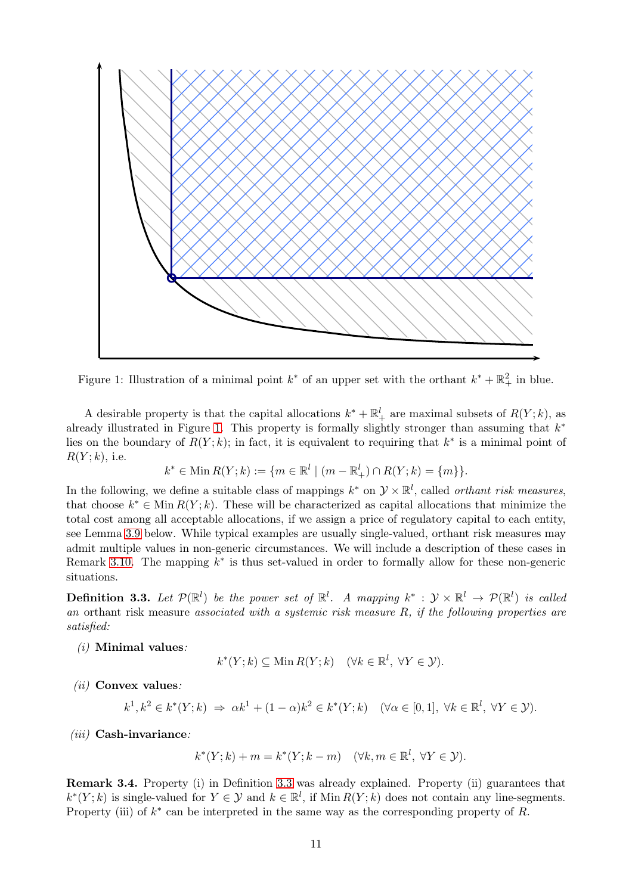

<span id="page-10-0"></span>Figure 1: Illustration of a minimal point  $k^*$  of an upper set with the orthant  $k^* + \mathbb{R}^2_+$  in blue.

A desirable property is that the capital allocations  $k^* + \mathbb{R}^l_+$  are maximal subsets of  $R(Y; k)$ , as already illustrated in Figure [1.](#page-10-0) This property is formally slightly stronger than assuming that  $k^*$ lies on the boundary of  $R(Y; k)$ ; in fact, it is equivalent to requiring that  $k^*$  is a minimal point of  $R(Y; k)$ , i.e.

$$
k^* \in \text{Min } R(Y; k) := \{ m \in \mathbb{R}^l \mid (m - \mathbb{R}^l_+) \cap R(Y; k) = \{ m \} \}.
$$

In the following, we define a suitable class of mappings  $k^*$  on  $\mathcal{Y} \times \mathbb{R}^l$ , called *orthant risk measures*, that choose  $k^* \in \text{Min } R(Y; k)$ . These will be characterized as capital allocations that minimize the total cost among all acceptable allocations, if we assign a price of regulatory capital to each entity, see Lemma [3.9](#page-11-0) below. While typical examples are usually single-valued, orthant risk measures may admit multiple values in non-generic circumstances. We will include a description of these cases in Remark [3.10.](#page-12-0) The mapping  $k^*$  is thus set-valued in order to formally allow for these non-generic situations.

<span id="page-10-1"></span>**Definition 3.3.** Let  $\mathcal{P}(\mathbb{R}^l)$  be the power set of  $\mathbb{R}^l$ . A mapping  $k^* : \mathcal{Y} \times \mathbb{R}^l \to \mathcal{P}(\mathbb{R}^l)$  is called an orthant risk measure associated with a systemic risk measure  $R$ , if the following properties are satisfied:

 $(i)$  Minimal values:

$$
k^*(Y;k) \subseteq \text{Min } R(Y;k) \quad (\forall k \in \mathbb{R}^l, \ \forall Y \in \mathcal{Y}).
$$

 $(ii)$  Convex values:

$$
k^1, k^2 \in k^*(Y; k) \implies \alpha k^1 + (1 - \alpha)k^2 \in k^*(Y; k) \quad (\forall \alpha \in [0, 1], \ \forall k \in \mathbb{R}^l, \ \forall Y \in \mathcal{Y}).
$$

 $(iii)$  Cash-invariance:

$$
k^*(Y;k) + m = k^*(Y;k-m) \quad (\forall k, m \in \mathbb{R}^l, \ \forall Y \in \mathcal{Y}).
$$

Remark 3.4. Property (i) in Definition [3.3](#page-10-1) was already explained. Property (ii) guarantees that  $k^*(Y; k)$  is single-valued for  $Y \in \mathcal{Y}$  and  $k \in \mathbb{R}^l$ , if Min  $R(Y; k)$  does not contain any line-segments. Property (iii) of  $k^*$  can be interpreted in the same way as the corresponding property of R.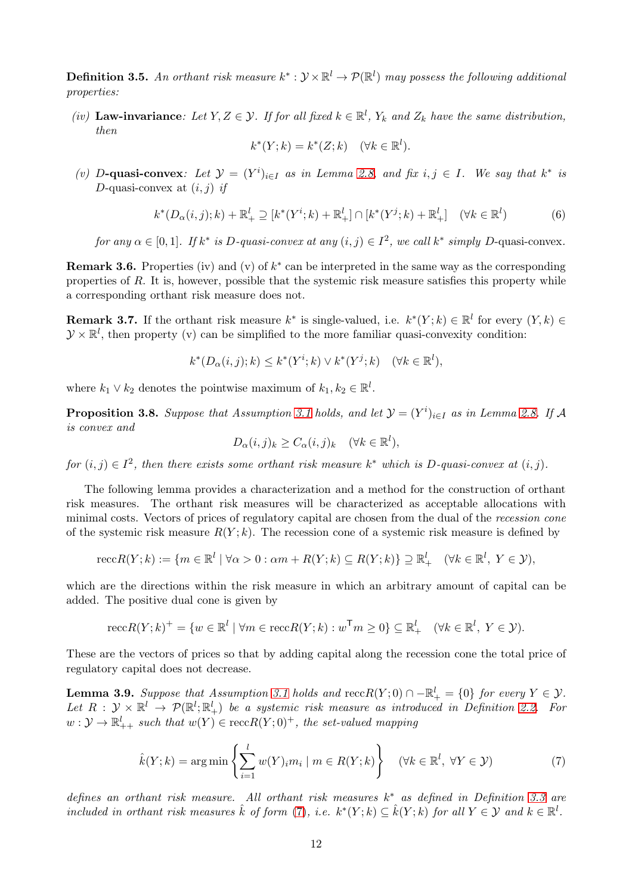**Definition 3.5.** An orthant risk measure  $k^*: \mathcal{Y} \times \mathbb{R}^l \to \mathcal{P}(\mathbb{R}^l)$  may possess the following additional properties:

(iv) Law-invariance: Let  $Y, Z \in \mathcal{Y}$ . If for all fixed  $k \in \mathbb{R}^l$ ,  $Y_k$  and  $Z_k$  have the same distribution, then

$$
k^*(Y;k) = k^*(Z;k) \quad (\forall k \in \mathbb{R}^l).
$$

(v) D-quasi-convex: Let  $\mathcal{Y} = (Y^i)_{i \in I}$  as in Lemma [2.8,](#page-7-1) and fix  $i, j \in I$ . We say that  $k^*$  is D-quasi-convex at  $(i, j)$  if

$$
k^*(D_{\alpha}(i,j);k) + \mathbb{R}^l_+ \supseteq [k^*(Y^i;k) + \mathbb{R}^l_+] \cap [k^*(Y^j;k) + \mathbb{R}^l_+] \quad (\forall k \in \mathbb{R}^l)
$$
 (6)

for any  $\alpha \in [0,1]$ . If  $k^*$  is D-quasi-convex at any  $(i, j) \in I^2$ , we call  $k^*$  simply D-quasi-convex.

**Remark 3.6.** Properties (iv) and (v) of  $k^*$  can be interpreted in the same way as the corresponding properties of  $R$ . It is, however, possible that the systemic risk measure satisfies this property while a corresponding orthant risk measure does not.

**Remark 3.7.** If the orthant risk measure  $k^*$  is single-valued, i.e.  $k^*(Y; k) \in \mathbb{R}^l$  for every  $(Y, k) \in$  $\mathcal{Y} \times \mathbb{R}^l$ , then property (v) can be simplified to the more familiar quasi-convexity condition:

$$
k^*(D_{\alpha}(i,j);k) \le k^*(Y^i;k) \vee k^*(Y^j;k) \quad (\forall k \in \mathbb{R}^l),
$$

<span id="page-11-2"></span>where  $k_1 \vee k_2$  denotes the pointwise maximum of  $k_1, k_2 \in \mathbb{R}^l$ .

**Proposition 3.8.** Suppose that Assumption [3.1](#page-9-2) holds, and let  $\mathcal{Y} = (Y^i)_{i \in I}$  as in Lemma [2.8.](#page-7-1) If A is convex and

$$
D_{\alpha}(i,j)_{k} \ge C_{\alpha}(i,j)_{k} \quad (\forall k \in \mathbb{R}^{l}),
$$

for  $(i, j) \in I^2$ , then there exists some orthant risk measure  $k^*$  which is D-quasi-convex at  $(i, j)$ .

The following lemma provides a characterization and a method for the construction of orthant risk measures. The orthant risk measures will be characterized as acceptable allocations with minimal costs. Vectors of prices of regulatory capital are chosen from the dual of the recession cone of the systemic risk measure  $R(Y; k)$ . The recession cone of a systemic risk measure is defined by

$$
\operatorname{recc} R(Y;k) := \{ m \in \mathbb{R}^l \mid \forall \alpha > 0 : \alpha m + R(Y;k) \subseteq R(Y;k) \} \supseteq \mathbb{R}^l_+ \quad (\forall k \in \mathbb{R}^l, \ Y \in \mathcal{Y}),
$$

which are the directions within the risk measure in which an arbitrary amount of capital can be added. The positive dual cone is given by

$$
\operatorname{recc} R(Y;k)^{+} = \{ w \in \mathbb{R}^{l} \mid \forall m \in \operatorname{recc} R(Y;k) : w^{\mathsf{T}} m \geq 0 \} \subseteq \mathbb{R}_{+}^{l} \quad (\forall k \in \mathbb{R}^{l}, Y \in \mathcal{Y}).
$$

<span id="page-11-0"></span>These are the vectors of prices so that by adding capital along the recession cone the total price of regulatory capital does not decrease.

**Lemma 3.9.** Suppose that Assumption [3.1](#page-9-2) holds and  $\text{recc}R(Y;0) \cap -\mathbb{R}^l_+ = \{0\}$  for every  $Y \in \mathcal{Y}$ . Let  $R : \mathcal{Y} \times \mathbb{R}^l \to \mathcal{P}(\mathbb{R}^l; \mathbb{R}^l_+)$  be a systemic risk measure as introduced in Definition [2.2.](#page-5-0) For  $w: \mathcal{Y} \to \mathbb{R}^l_{++}$  such that  $w(Y) \in \operatorname{recc} R(Y; 0)^+$ , the set-valued mapping

<span id="page-11-1"></span>
$$
\hat{k}(Y;k) = \arg\min\left\{\sum_{i=1}^{l} w(Y)_i m_i \mid m \in R(Y;k)\right\} \quad (\forall k \in \mathbb{R}^l, \ \forall Y \in \mathcal{Y})
$$
\n(7)

defines an orthant risk measure. All orthant risk measures  $k^*$  as defined in Definition [3.3](#page-10-1) are included in orthant risk measures  $\hat{k}$  of form [\(7\)](#page-11-1), i.e.  $k^*(Y;k) \subseteq \hat{k}(Y;k)$  for all  $Y \in \mathcal{Y}$  and  $k \in \mathbb{R}^l$ .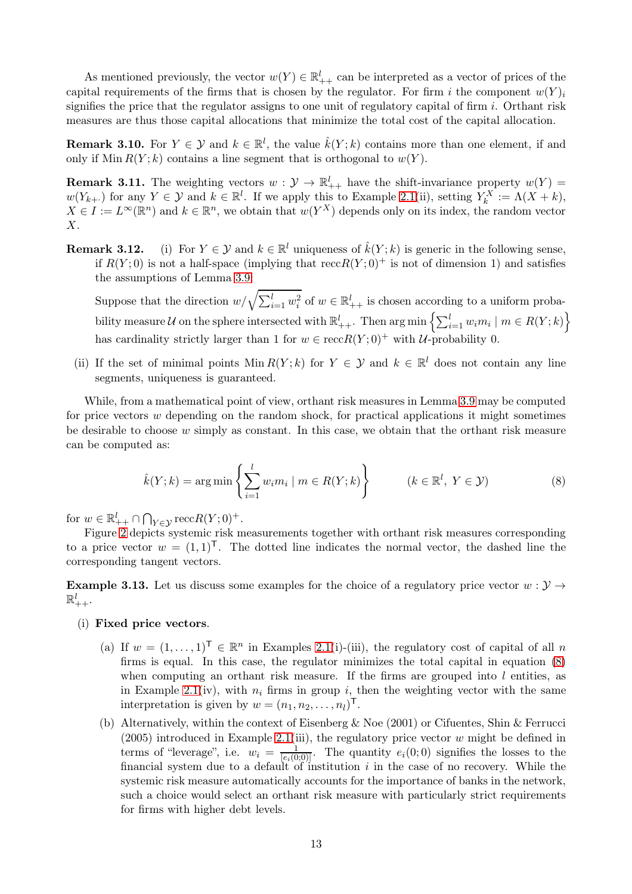As mentioned previously, the vector  $w(Y) \in \mathbb{R}^l_{++}$  can be interpreted as a vector of prices of the capital requirements of the firms that is chosen by the regulator. For firm i the component  $w(Y)$ signifies the price that the regulator assigns to one unit of regulatory capital of firm  $i$ . Orthant risk measures are thus those capital allocations that minimize the total cost of the capital allocation.

<span id="page-12-0"></span>**Remark 3.10.** For  $Y \in \mathcal{Y}$  and  $k \in \mathbb{R}^l$ , the value  $\hat{k}(Y; k)$  contains more than one element, if and only if Min  $R(Y; k)$  contains a line segment that is orthogonal to  $w(Y)$ .

<span id="page-12-2"></span>**Remark 3.11.** The weighting vectors  $w: \mathcal{Y} \to \mathbb{R}^l_{++}$  have the shift-invariance property  $w(Y)$  =  $w(Y_{k+1})$  for any  $Y \in \mathcal{Y}$  and  $k \in \mathbb{R}^l$ . If we apply this to Example [2.1\(](#page-3-1)ii), setting  $Y_k^X := \Lambda(X + k)$ ,  $X \in I := L^{\infty}(\mathbb{R}^n)$  and  $k \in \mathbb{R}^n$ , we obtain that  $w(Y^X)$  depends only on its index, the random vector X.

**Remark 3.12.** (i) For  $Y \in \mathcal{Y}$  and  $k \in \mathbb{R}^l$  uniqueness of  $\hat{k}(Y; k)$  is generic in the following sense, if  $R(Y;0)$  is not a half-space (implying that  $reccR(Y;0)^+$  is not of dimension 1) and satisfies the assumptions of Lemma [3.9:](#page-11-0)

Suppose that the direction  $w/\sqrt{\sum_{i=1}^l w_i^2}$  of  $w \in \mathbb{R}^l_{++}$  is chosen according to a uniform probability measure U on the sphere intersected with  $\mathbb{R}^l_{++}$ . Then  $\arg \min \left\{ \sum_{i=1}^l w_i m_i \mid m \in R(Y; k) \right\}$ has cardinality strictly larger than 1 for  $w \in \operatorname{recc} R(Y; 0)^+$  with U-probability 0.

(ii) If the set of minimal points  $\text{Min } R(Y; k)$  for  $Y \in \mathcal{Y}$  and  $k \in \mathbb{R}^l$  does not contain any line segments, uniqueness is guaranteed.

While, from a mathematical point of view, orthant risk measures in Lemma [3.9](#page-11-0) may be computed for price vectors  $w$  depending on the random shock, for practical applications it might sometimes be desirable to choose  $w$  simply as constant. In this case, we obtain that the orthant risk measure can be computed as:

<span id="page-12-1"></span>
$$
\hat{k}(Y;k) = \arg\min\left\{\sum_{i=1}^{l} w_i m_i \mid m \in R(Y;k)\right\} \qquad (k \in \mathbb{R}^l, Y \in \mathcal{Y})
$$
\n(8)

for  $w \in \mathbb{R}^l_{++} \cap \bigcap_{Y \in \mathcal{Y}} \text{recc}R(Y;0)^+$ .

Figure [2](#page-13-0) depicts systemic risk measurements together with orthant risk measures corresponding to a price vector  $w = (1, 1)^T$ . The dotted line indicates the normal vector, the dashed line the corresponding tangent vectors.

**Example 3.13.** Let us discuss some examples for the choice of a regulatory price vector  $w : \mathcal{Y} \to$  $\mathbb{R}^l_{++}.$ 

- (i) Fixed price vectors.
	- (a) If  $w = (1, \ldots, 1)^{\mathsf{T}} \in \mathbb{R}^n$  in Examples [2.1\(](#page-3-1)i)-(iii), the regulatory cost of capital of all n firms is equal. In this case, the regulator minimizes the total capital in equation [\(8\)](#page-12-1) when computing an orthant risk measure. If the firms are grouped into  $l$  entities, as in Example [2.1\(](#page-3-1)iv), with  $n_i$  firms in group i, then the weighting vector with the same interpretation is given by  $w = (n_1, n_2, \ldots, n_l)^\mathsf{T}$ .
	- (b) Alternatively, within the context of Eisenberg & Noe (2001) or Cifuentes, Shin & Ferrucci  $(2005)$  introduced in Example [2.1\(](#page-3-1)iii), the regulatory price vector w might be defined in terms of "leverage", i.e.  $w_i = \frac{1}{|e_i|}$  $\frac{1}{[e_i(0,0)]}$ . The quantity  $e_i(0,0)$  signifies the losses to the financial system due to a default of institution  $i$  in the case of no recovery. While the systemic risk measure automatically accounts for the importance of banks in the network, such a choice would select an orthant risk measure with particularly strict requirements for firms with higher debt levels.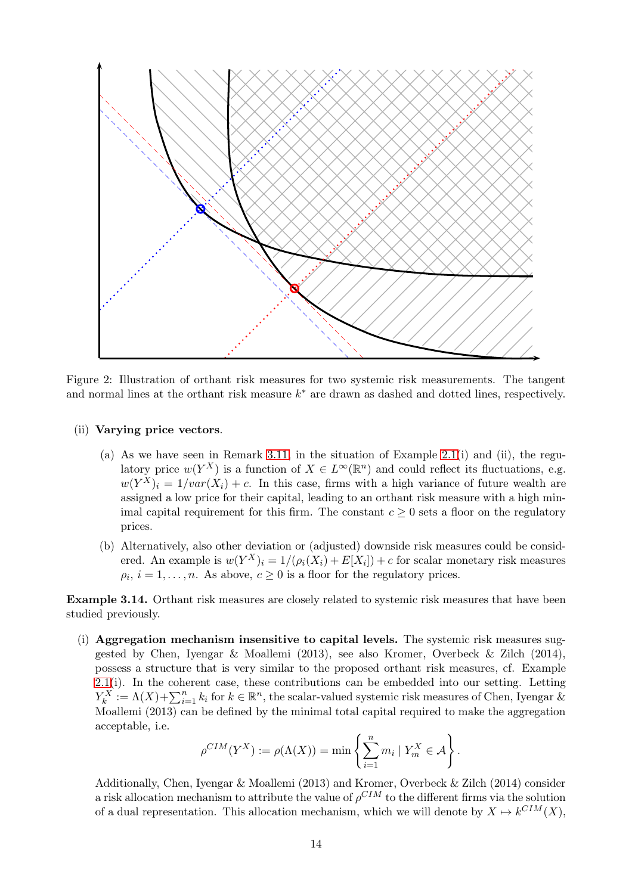

<span id="page-13-0"></span>Figure 2: Illustration of orthant risk measures for two systemic risk measurements. The tangent and normal lines at the orthant risk measure  $k^*$  are drawn as dashed and dotted lines, respectively.

- (ii) Varying price vectors.
	- (a) As we have seen in Remark [3.11,](#page-12-2) in the situation of Example [2.1\(](#page-3-1)i) and (ii), the regulatory price  $w(Y^X)$  is a function of  $X \in L^{\infty}(\mathbb{R}^n)$  and could reflect its fluctuations, e.g.  $w(Y^X)_i = 1/var(X_i) + c$ . In this case, firms with a high variance of future wealth are assigned a low price for their capital, leading to an orthant risk measure with a high minimal capital requirement for this firm. The constant  $c \geq 0$  sets a floor on the regulatory prices.
	- (b) Alternatively, also other deviation or (adjusted) downside risk measures could be considered. An example is  $w(Y^X)_i = 1/(\rho_i(X_i) + E[X_i]) + c$  for scalar monetary risk measures  $\rho_i$ ,  $i = 1, \ldots, n$ . As above,  $c \geq 0$  is a floor for the regulatory prices.

Example 3.14. Orthant risk measures are closely related to systemic risk measures that have been studied previously.

(i) Aggregation mechanism insensitive to capital levels. The systemic risk measures suggested by Chen, Iyengar & Moallemi (2013), see also Kromer, Overbeck & Zilch (2014), possess a structure that is very similar to the proposed orthant risk measures, cf. Example [2.1\(](#page-3-1)i). In the coherent case, these contributions can be embedded into our setting. Letting  $Y_k^X := \Lambda(X) + \sum_{i=1}^n k_i$  for  $k \in \mathbb{R}^n$ , the scalar-valued systemic risk measures of Chen, Iyengar & Moallemi (2013) can be defined by the minimal total capital required to make the aggregation acceptable, i.e.

$$
\rho^{CIM}(Y^X) := \rho(\Lambda(X)) = \min \left\{ \sum_{i=1}^n m_i \mid Y_m^X \in \mathcal{A} \right\}.
$$

Additionally, Chen, Iyengar & Moallemi (2013) and Kromer, Overbeck & Zilch (2014) consider a risk allocation mechanism to attribute the value of  $\rho^{CIM}$  to the different firms via the solution of a dual representation. This allocation mechanism, which we will denote by  $X \mapsto k^{CIM}(X)$ ,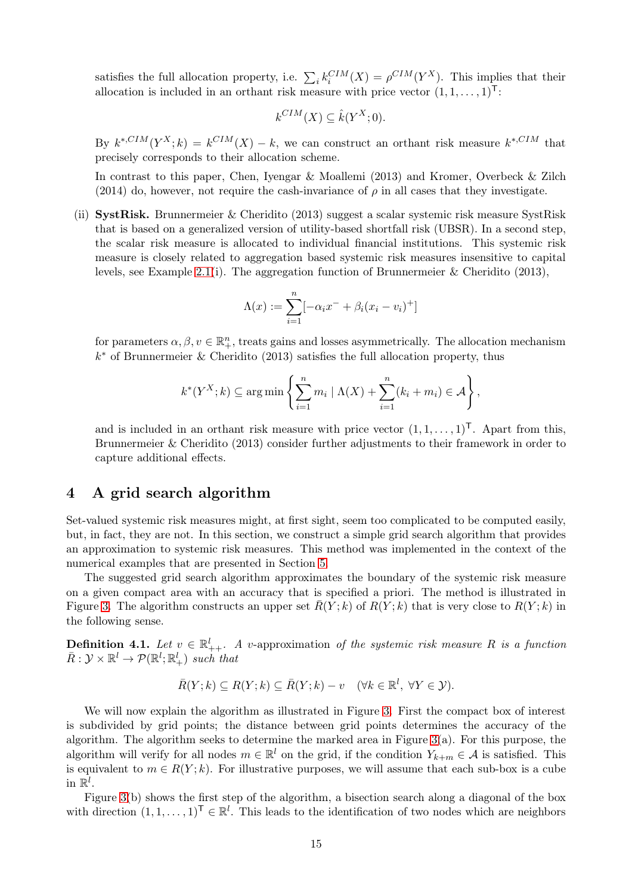satisfies the full allocation property, i.e.  $\sum_i k_i^{CIM}(X) = \rho^{CIM}(Y^X)$ . This implies that their allocation is included in an orthant risk measure with price vector  $(1, 1, \ldots, 1)^{T}$ :

$$
k^{CIM}(X) \subseteq \hat{k}(Y^X; 0).
$$

By  $k^{*,CIM}(Y^X;k) = k^{CIM}(X) - k$ , we can construct an orthant risk measure  $k^{*,CIM}$  that precisely corresponds to their allocation scheme.

In contrast to this paper, Chen, Iyengar & Moallemi (2013) and Kromer, Overbeck & Zilch (2014) do, however, not require the cash-invariance of  $\rho$  in all cases that they investigate.

(ii) SystRisk. Brunnermeier & Cheridito (2013) suggest a scalar systemic risk measure SystRisk that is based on a generalized version of utility-based shortfall risk (UBSR). In a second step, the scalar risk measure is allocated to individual financial institutions. This systemic risk measure is closely related to aggregation based systemic risk measures insensitive to capital levels, see Example [2.1\(](#page-3-1)i). The aggregation function of Brunnermeier & Cheridito (2013),

$$
\Lambda(x) := \sum_{i=1}^{n} [-\alpha_i x^{-} + \beta_i (x_i - v_i)^{+}]
$$

for parameters  $\alpha, \beta, v \in \mathbb{R}^n_+$ , treats gains and losses asymmetrically. The allocation mechanism k ∗ of Brunnermeier & Cheridito (2013) satisfies the full allocation property, thus

$$
k^*(Y^X; k) \subseteq \arg\min\left\{\sum_{i=1}^n m_i \mid \Lambda(X) + \sum_{i=1}^n (k_i + m_i) \in \mathcal{A}\right\},\
$$

and is included in an orthant risk measure with price vector  $(1, 1, \ldots, 1)^T$ . Apart from this, Brunnermeier & Cheridito (2013) consider further adjustments to their framework in order to capture additional effects.

## <span id="page-14-0"></span>4 A grid search algorithm

Set-valued systemic risk measures might, at first sight, seem too complicated to be computed easily, but, in fact, they are not. In this section, we construct a simple grid search algorithm that provides an approximation to systemic risk measures. This method was implemented in the context of the numerical examples that are presented in Section [5.](#page-17-0)

The suggested grid search algorithm approximates the boundary of the systemic risk measure on a given compact area with an accuracy that is specified a priori. The method is illustrated in Figure [3.](#page-15-0) The algorithm constructs an upper set  $R(Y; k)$  of  $R(Y; k)$  that is very close to  $R(Y; k)$  in the following sense.

**Definition 4.1.** Let  $v \in \mathbb{R}^l_{++}$ . A v-approximation of the systemic risk measure R is a function  $\bar{R}: \mathcal{Y} \times \mathbb{R}^l \to \mathcal{P}(\mathbb{R}^l; \mathbb{R}^l_+)$  such that

$$
\bar{R}(Y;k) \subseteq R(Y;k) \subseteq \bar{R}(Y;k) - v \quad (\forall k \in \mathbb{R}^l, \ \forall Y \in \mathcal{Y}).
$$

We will now explain the algorithm as illustrated in Figure [3.](#page-15-0) First the compact box of interest is subdivided by grid points; the distance between grid points determines the accuracy of the algorithm. The algorithm seeks to determine the marked area in Figure  $3(a)$ . For this purpose, the algorithm will verify for all nodes  $m \in \mathbb{R}^l$  on the grid, if the condition  $Y_{k+m} \in \mathcal{A}$  is satisfied. This is equivalent to  $m \in R(Y; k)$ . For illustrative purposes, we will assume that each sub-box is a cube in  $\mathbb{R}^l$ .

Figure [3\(](#page-15-0)b) shows the first step of the algorithm, a bisection search along a diagonal of the box with direction  $(1, 1, \ldots, 1)^{\mathsf{T}} \in \mathbb{R}^l$ . This leads to the identification of two nodes which are neighbors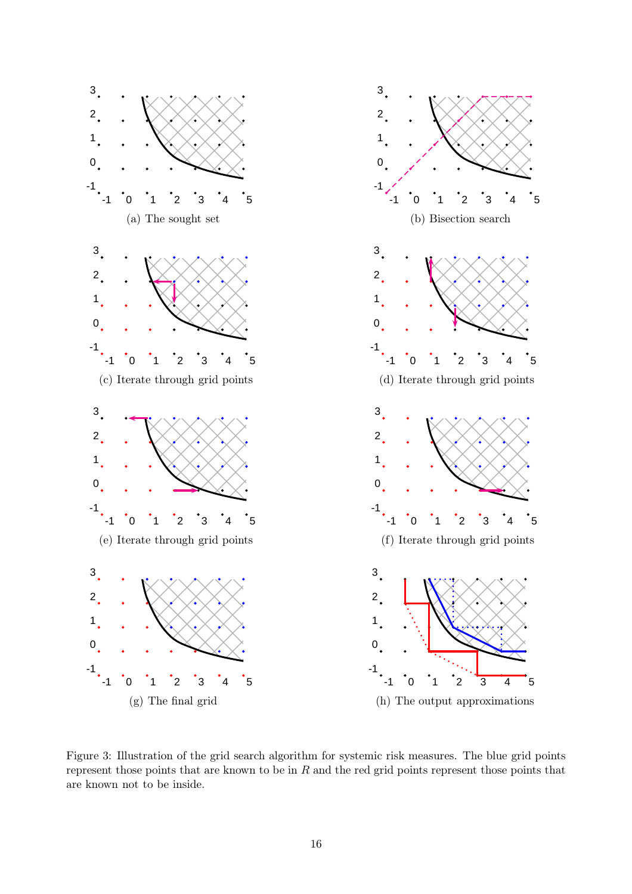

<span id="page-15-0"></span>Figure 3: Illustration of the grid search algorithm for systemic risk measures. The blue grid points represent those points that are known to be in  $R$  and the red grid points represent those points that are known not to be inside.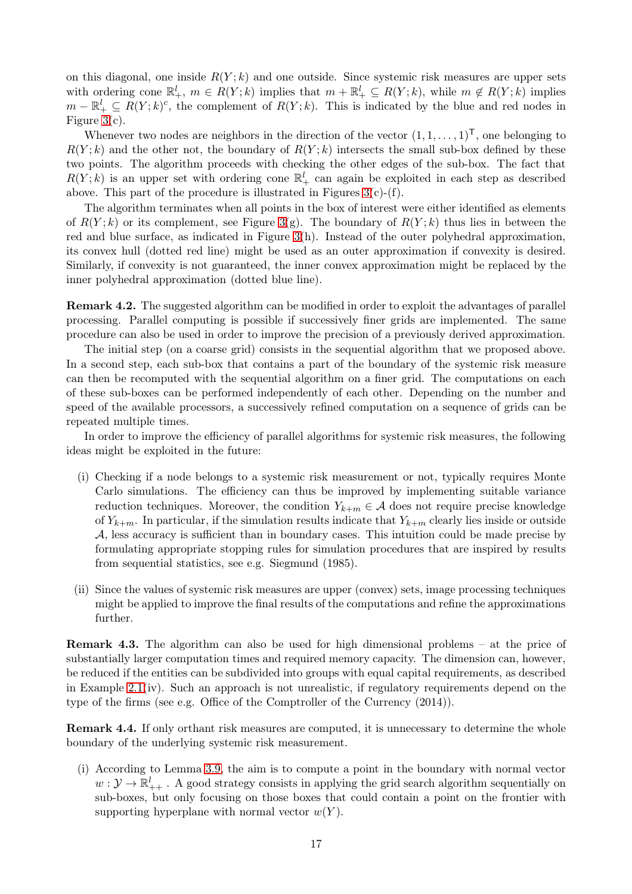on this diagonal, one inside  $R(Y; k)$  and one outside. Since systemic risk measures are upper sets with ordering cone  $\mathbb{R}^l_+$ ,  $m \in R(Y;k)$  implies that  $m + \mathbb{R}^l_+ \subseteq R(Y;k)$ , while  $m \notin R(Y;k)$  implies  $m - \mathbb{R}^l_+ \subseteq R(Y; k)^c$ , the complement of  $R(Y; k)$ . This is indicated by the blue and red nodes in Figure [3\(](#page-15-0)c).

Whenever two nodes are neighbors in the direction of the vector  $(1, 1, \ldots, 1)^T$ , one belonging to  $R(Y; k)$  and the other not, the boundary of  $R(Y; k)$  intersects the small sub-box defined by these two points. The algorithm proceeds with checking the other edges of the sub-box. The fact that  $R(Y; k)$  is an upper set with ordering cone  $\mathbb{R}^l_+$  can again be exploited in each step as described above. This part of the procedure is illustrated in Figures  $3(c)-(f)$ .

The algorithm terminates when all points in the box of interest were either identified as elements of  $R(Y; k)$  or its complement, see Figure [3\(](#page-15-0)g). The boundary of  $R(Y; k)$  thus lies in between the red and blue surface, as indicated in Figure  $3(h)$ . Instead of the outer polyhedral approximation, its convex hull (dotted red line) might be used as an outer approximation if convexity is desired. Similarly, if convexity is not guaranteed, the inner convex approximation might be replaced by the inner polyhedral approximation (dotted blue line).

Remark 4.2. The suggested algorithm can be modified in order to exploit the advantages of parallel processing. Parallel computing is possible if successively finer grids are implemented. The same procedure can also be used in order to improve the precision of a previously derived approximation.

The initial step (on a coarse grid) consists in the sequential algorithm that we proposed above. In a second step, each sub-box that contains a part of the boundary of the systemic risk measure can then be recomputed with the sequential algorithm on a finer grid. The computations on each of these sub-boxes can be performed independently of each other. Depending on the number and speed of the available processors, a successively refined computation on a sequence of grids can be repeated multiple times.

In order to improve the efficiency of parallel algorithms for systemic risk measures, the following ideas might be exploited in the future:

- (i) Checking if a node belongs to a systemic risk measurement or not, typically requires Monte Carlo simulations. The efficiency can thus be improved by implementing suitable variance reduction techniques. Moreover, the condition  $Y_{k+m} \in \mathcal{A}$  does not require precise knowledge of  $Y_{k+m}$ . In particular, if the simulation results indicate that  $Y_{k+m}$  clearly lies inside or outside A, less accuracy is sufficient than in boundary cases. This intuition could be made precise by formulating appropriate stopping rules for simulation procedures that are inspired by results from sequential statistics, see e.g. Siegmund (1985).
- (ii) Since the values of systemic risk measures are upper (convex) sets, image processing techniques might be applied to improve the final results of the computations and refine the approximations further.

Remark 4.3. The algorithm can also be used for high dimensional problems – at the price of substantially larger computation times and required memory capacity. The dimension can, however, be reduced if the entities can be subdivided into groups with equal capital requirements, as described in Example  $2.1(iv)$ . Such an approach is not unrealistic, if regulatory requirements depend on the type of the firms (see e.g. Office of the Comptroller of the Currency (2014)).

Remark 4.4. If only orthant risk measures are computed, it is unnecessary to determine the whole boundary of the underlying systemic risk measurement.

(i) According to Lemma [3.9,](#page-11-0) the aim is to compute a point in the boundary with normal vector  $w: \mathcal{Y} \to \mathbb{R}^l_{++}$ . A good strategy consists in applying the grid search algorithm sequentially on sub-boxes, but only focusing on those boxes that could contain a point on the frontier with supporting hyperplane with normal vector  $w(Y)$ .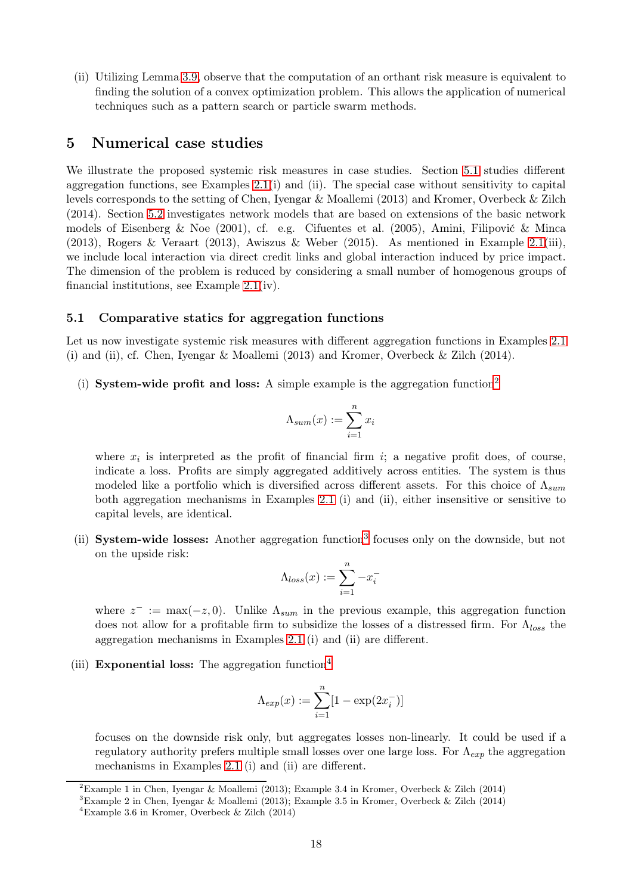(ii) Utilizing Lemma [3.9,](#page-11-0) observe that the computation of an orthant risk measure is equivalent to finding the solution of a convex optimization problem. This allows the application of numerical techniques such as a pattern search or particle swarm methods.

## <span id="page-17-0"></span>5 Numerical case studies

We illustrate the proposed systemic risk measures in case studies. Section [5.1](#page-17-1) studies different aggregation functions, see Examples  $2.1(i)$  and (ii). The special case without sensitivity to capital levels corresponds to the setting of Chen, Iyengar & Moallemi (2013) and Kromer, Overbeck & Zilch (2014). Section [5.2](#page-20-0) investigates network models that are based on extensions of the basic network models of Eisenberg & Noe (2001), cf. e.g. Cifuentes et al. (2005), Amini, Filipović & Minca (2013), Rogers & Veraart (2013), Awiszus & Weber (2015). As mentioned in Example [2.1\(](#page-3-1)iii), we include local interaction via direct credit links and global interaction induced by price impact. The dimension of the problem is reduced by considering a small number of homogenous groups of financial institutions, see Example [2.1\(](#page-3-1)iv).

#### <span id="page-17-1"></span>5.1 Comparative statics for aggregation functions

Let us now investigate systemic risk measures with different aggregation functions in Examples [2.1](#page-3-1) (i) and (ii), cf. Chen, Iyengar & Moallemi (2013) and Kromer, Overbeck & Zilch (2014).

(i) System-wide profit and loss: A simple example is the aggregation function<sup>[2](#page-17-2)</sup>

$$
\Lambda_{sum}(x) := \sum_{i=1}^{n} x_i
$$

where  $x_i$  is interpreted as the profit of financial firm i; a negative profit does, of course, indicate a loss. Profits are simply aggregated additively across entities. The system is thus modeled like a portfolio which is diversified across different assets. For this choice of  $\Lambda_{sum}$ both aggregation mechanisms in Examples [2.1](#page-3-1) (i) and (ii), either insensitive or sensitive to capital levels, are identical.

(ii) System-wide losses: Another aggregation function<sup>[3](#page-17-3)</sup> focuses only on the downside, but not on the upside risk:

$$
\Lambda_{loss}(x):=\sum_{i=1}^n-x_i^-
$$

where  $z^- := \max(-z, 0)$ . Unlike  $\Lambda_{sum}$  in the previous example, this aggregation function does not allow for a profitable firm to subsidize the losses of a distressed firm. For  $\Lambda_{loss}$  the aggregation mechanisms in Examples [2.1](#page-3-1) (i) and (ii) are different.

(iii) Exponential loss: The aggregation function<sup>[4](#page-17-4)</sup>

$$
\Lambda_{exp}(x):=\sum_{i=1}^n[1-\exp(2x_i^-)]
$$

focuses on the downside risk only, but aggregates losses non-linearly. It could be used if a regulatory authority prefers multiple small losses over one large loss. For  $\Lambda_{exp}$  the aggregation mechanisms in Examples [2.1](#page-3-1) (i) and (ii) are different.

<sup>&</sup>lt;sup>2</sup>Example 1 in Chen, Ivengar & Moallemi (2013); Example 3.4 in Kromer, Overbeck & Zilch (2014)

<span id="page-17-2"></span><sup>3</sup>Example 2 in Chen, Iyengar & Moallemi (2013); Example 3.5 in Kromer, Overbeck & Zilch (2014)

<span id="page-17-4"></span><span id="page-17-3"></span><sup>&</sup>lt;sup>4</sup>Example 3.6 in Kromer, Overbeck & Zilch  $(2014)$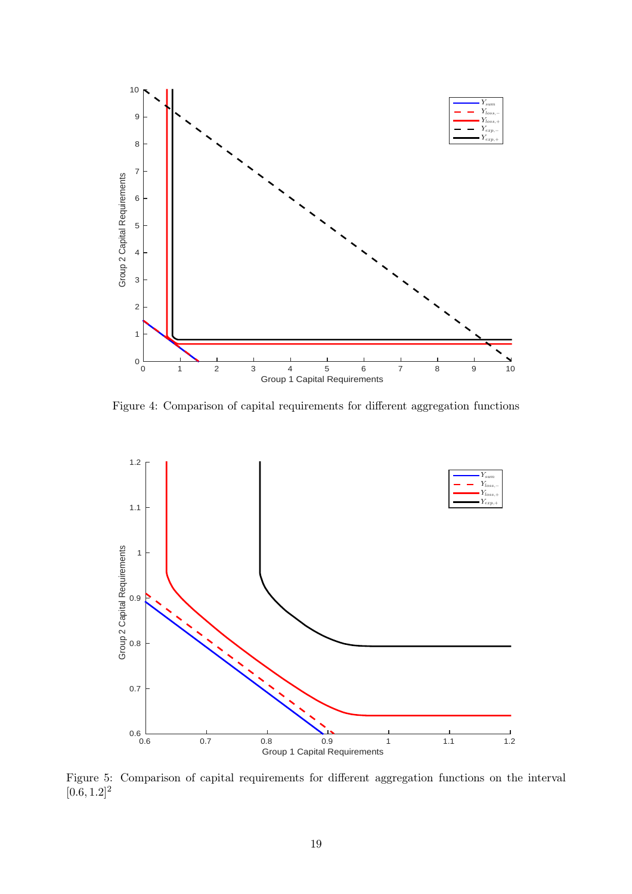

<span id="page-18-0"></span>Figure 4: Comparison of capital requirements for different aggregation functions



<span id="page-18-1"></span>Figure 5: Comparison of capital requirements for different aggregation functions on the interval  $[0.6, 1.2]^2$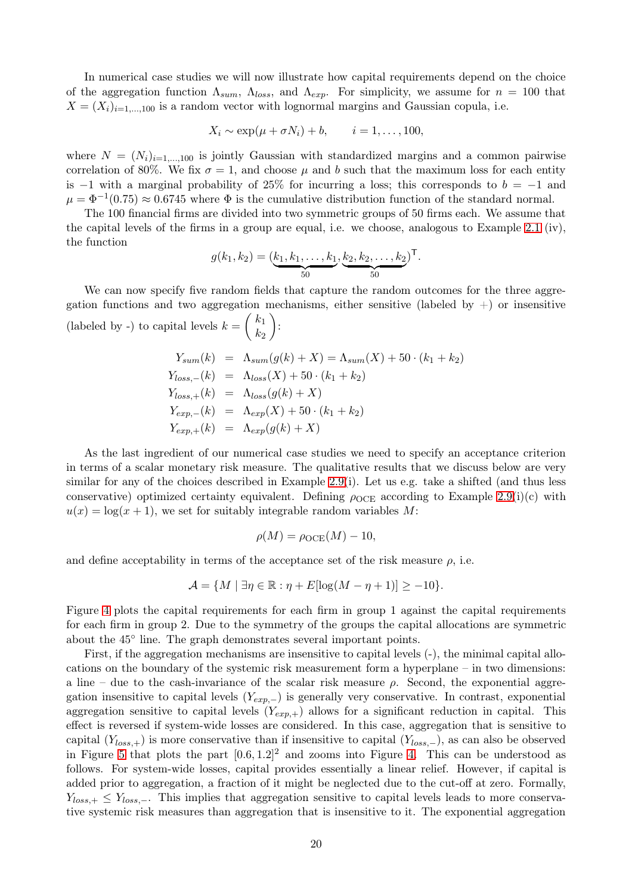In numerical case studies we will now illustrate how capital requirements depend on the choice of the aggregation function  $\Lambda_{sum}$ ,  $\Lambda_{loss}$ , and  $\Lambda_{exp}$ . For simplicity, we assume for  $n = 100$  that  $X = (X_i)_{i=1,\dots,100}$  is a random vector with lognormal margins and Gaussian copula, i.e.

$$
X_i \sim \exp(\mu + \sigma N_i) + b, \qquad i = 1, \dots, 100,
$$

where  $N = (N_i)_{i=1,\dots,100}$  is jointly Gaussian with standardized margins and a common pairwise correlation of 80%. We fix  $\sigma = 1$ , and choose  $\mu$  and b such that the maximum loss for each entity is  $-1$  with a marginal probability of 25% for incurring a loss; this corresponds to  $b = -1$  and  $\mu = \Phi^{-1}(0.75) \approx 0.6745$  where  $\Phi$  is the cumulative distribution function of the standard normal.

The 100 financial firms are divided into two symmetric groups of 50 firms each. We assume that the capital levels of the firms in a group are equal, i.e. we choose, analogous to Example [2.1](#page-3-1) (iv), the function

$$
g(k_1, k_2) = (\underbrace{k_1, k_1, \dots, k_1}_{50}, \underbrace{k_2, k_2, \dots, k_2}_{50})^{\mathsf{T}}.
$$

We can now specify five random fields that capture the random outcomes for the three aggregation functions and two aggregation mechanisms, either sensitive (labeled by  $+)$  or insensitive (labeled by -) to capital levels  $k =$  $k_1$  $\mathcal{k}_2$  $\setminus$ :

$$
Y_{sum}(k) = \Lambda_{sum}(g(k) + X) = \Lambda_{sum}(X) + 50 \cdot (k_1 + k_2)
$$
  
\n
$$
Y_{loss,-}(k) = \Lambda_{loss}(X) + 50 \cdot (k_1 + k_2)
$$
  
\n
$$
Y_{loss,+}(k) = \Lambda_{loss}(g(k) + X)
$$
  
\n
$$
Y_{exp,-}(k) = \Lambda_{exp}(X) + 50 \cdot (k_1 + k_2)
$$
  
\n
$$
Y_{exp,+}(k) = \Lambda_{exp}(g(k) + X)
$$

As the last ingredient of our numerical case studies we need to specify an acceptance criterion in terms of a scalar monetary risk measure. The qualitative results that we discuss below are very similar for any of the choices described in Example [2.9\(](#page-7-2)i). Let us e.g. take a shifted (and thus less conservative) optimized certainty equivalent. Defining  $\rho_{OCE}$  according to Example [2.9\(](#page-7-2)i)(c) with  $u(x) = \log(x+1)$ , we set for suitably integrable random variables M:

$$
\rho(M) = \rho_{\text{OCE}}(M) - 10,
$$

and define acceptability in terms of the acceptance set of the risk measure  $\rho$ , i.e.

$$
\mathcal{A} = \{ M \mid \exists \eta \in \mathbb{R} : \eta + E[\log(M - \eta + 1)] \ge -10 \}.
$$

Figure [4](#page-18-0) plots the capital requirements for each firm in group 1 against the capital requirements for each firm in group 2. Due to the symmetry of the groups the capital allocations are symmetric about the 45◦ line. The graph demonstrates several important points.

First, if the aggregation mechanisms are insensitive to capital levels (-), the minimal capital allocations on the boundary of the systemic risk measurement form a hyperplane – in two dimensions: a line – due to the cash-invariance of the scalar risk measure  $\rho$ . Second, the exponential aggregation insensitive to capital levels  $(Y_{exp,-})$  is generally very conservative. In contrast, exponential aggregation sensitive to capital levels  $(Y_{exp,+})$  allows for a significant reduction in capital. This effect is reversed if system-wide losses are considered. In this case, aggregation that is sensitive to capital  $(Y<sub>loss,+</sub>)$  is more conservative than if insensitive to capital  $(Y<sub>loss,-</sub>)$ , as can also be observed in Figure [5](#page-18-1) that plots the part  $[0.6, 1.2]^2$  and zooms into Figure [4.](#page-18-0) This can be understood as follows. For system-wide losses, capital provides essentially a linear relief. However, if capital is added prior to aggregation, a fraction of it might be neglected due to the cut-off at zero. Formally,  $Y_{loss,+} \leq Y_{loss,-}$ . This implies that aggregation sensitive to capital levels leads to more conservative systemic risk measures than aggregation that is insensitive to it. The exponential aggregation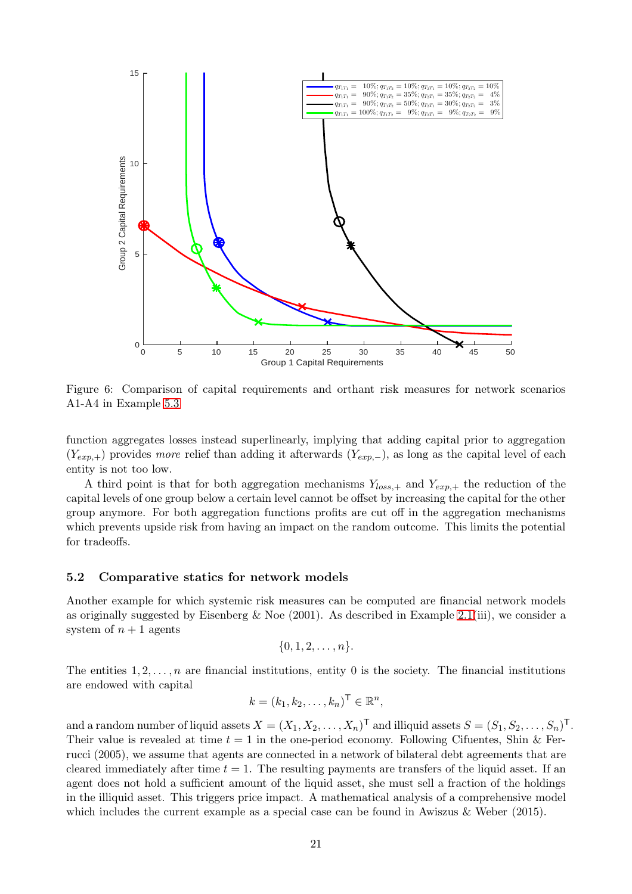

<span id="page-20-1"></span>Figure 6: Comparison of capital requirements and orthant risk measures for network scenarios A1-A4 in Example [5.3](#page-22-0)

function aggregates losses instead superlinearly, implying that adding capital prior to aggregation  $(Y_{exp,+})$  provides more relief than adding it afterwards  $(Y_{exp,-})$ , as long as the capital level of each entity is not too low.

A third point is that for both aggregation mechanisms  $Y_{loss,+}$  and  $Y_{exp,+}$  the reduction of the capital levels of one group below a certain level cannot be offset by increasing the capital for the other group anymore. For both aggregation functions profits are cut off in the aggregation mechanisms which prevents upside risk from having an impact on the random outcome. This limits the potential for tradeoffs.

#### <span id="page-20-0"></span>5.2 Comparative statics for network models

Another example for which systemic risk measures can be computed are financial network models as originally suggested by Eisenberg & Noe  $(2001)$ . As described in Example [2.1\(](#page-3-1)iii), we consider a system of  $n+1$  agents

$$
\{0,1,2,\ldots,n\}.
$$

The entities  $1, 2, \ldots, n$  are financial institutions, entity 0 is the society. The financial institutions are endowed with capital

$$
k = (k_1, k_2, \dots, k_n)^\mathsf{T} \in \mathbb{R}^n,
$$

and a random number of liquid assets  $X = (X_1, X_2, \ldots, X_n)^\mathsf{T}$  and illiquid assets  $S = (S_1, S_2, \ldots, S_n)^\mathsf{T}$ . Their value is revealed at time  $t = 1$  in the one-period economy. Following Cifuentes, Shin & Ferrucci (2005), we assume that agents are connected in a network of bilateral debt agreements that are cleared immediately after time  $t = 1$ . The resulting payments are transfers of the liquid asset. If an agent does not hold a sufficient amount of the liquid asset, she must sell a fraction of the holdings in the illiquid asset. This triggers price impact. A mathematical analysis of a comprehensive model which includes the current example as a special case can be found in Awiszus & Weber (2015).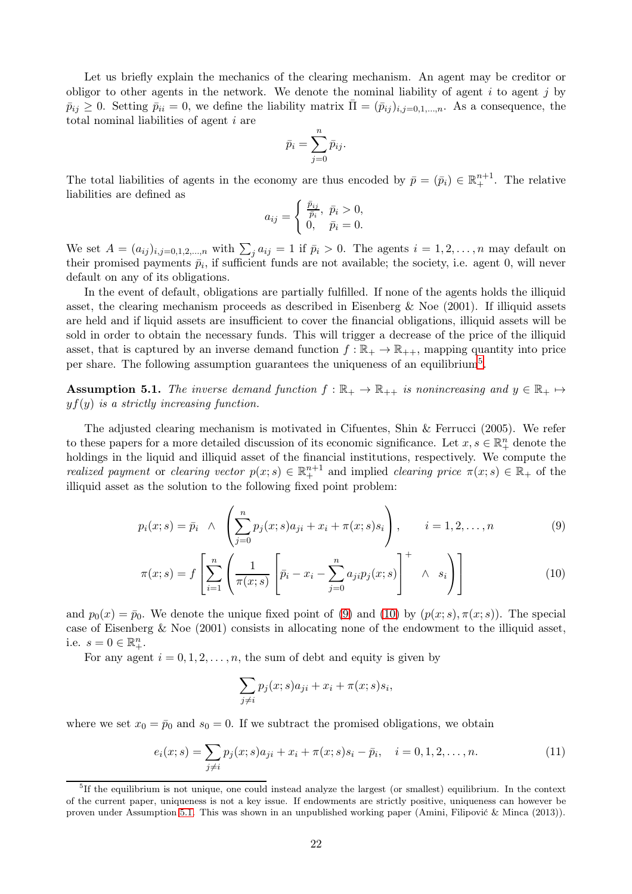Let us briefly explain the mechanics of the clearing mechanism. An agent may be creditor or obligor to other agents in the network. We denote the nominal liability of agent  $i$  to agent  $j$  by  $\bar{p}_{ij} \geq 0$ . Setting  $\bar{p}_{ii} = 0$ , we define the liability matrix  $\bar{\Pi} = (\bar{p}_{ij})_{i,j=0,1,...,n}$ . As a consequence, the total nominal liabilities of agent i are

$$
\bar{p}_i = \sum_{j=0}^n \bar{p}_{ij}.
$$

The total liabilities of agents in the economy are thus encoded by  $\bar{p} = (\bar{p}_i) \in \mathbb{R}^{n+1}_+$ . The relative liabilities are defined as

$$
a_{ij} = \begin{cases} \frac{\bar{p}_{ij}}{\bar{p}_i}, \ \bar{p}_i > 0, \\ 0, \quad \bar{p}_i = 0. \end{cases}
$$

We set  $A = (a_{ij})_{i,j=0,1,2,...,n}$  with  $\sum_j a_{ij} = 1$  if  $\bar{p}_i > 0$ . The agents  $i = 1,2,...,n$  may default on their promised payments  $\bar{p}_i$ , if sufficient funds are not available; the society, i.e. agent 0, will never default on any of its obligations.

In the event of default, obligations are partially fulfilled. If none of the agents holds the illiquid asset, the clearing mechanism proceeds as described in Eisenberg & Noe (2001). If illiquid assets are held and if liquid assets are insufficient to cover the financial obligations, illiquid assets will be sold in order to obtain the necessary funds. This will trigger a decrease of the price of the illiquid asset, that is captured by an inverse demand function  $f : \mathbb{R}_+ \to \mathbb{R}_{++}$ , mapping quantity into price per share. The following assumption guarantees the uniqueness of an equilibrium<sup>[5](#page-21-0)</sup>.

<span id="page-21-3"></span>**Assumption 5.1.** The inverse demand function  $f : \mathbb{R}_+ \to \mathbb{R}_{++}$  is nonincreasing and  $y \in \mathbb{R}_+ \mapsto$  $y f(y)$  is a strictly increasing function.

The adjusted clearing mechanism is motivated in Cifuentes, Shin & Ferrucci (2005). We refer to these papers for a more detailed discussion of its economic significance. Let  $x, s \in \mathbb{R}^n_+$  denote the holdings in the liquid and illiquid asset of the financial institutions, respectively. We compute the realized payment or clearing vector  $p(x; s) \in \mathbb{R}^{n+1}$  and implied clearing price  $\pi(x; s) \in \mathbb{R}_+$  of the illiquid asset as the solution to the following fixed point problem:

$$
p_i(x; s) = \bar{p}_i \ \wedge \ \left( \sum_{j=0}^n p_j(x; s) a_{ji} + x_i + \pi(x; s) s_i \right), \qquad i = 1, 2, \dots, n \tag{9}
$$

$$
\pi(x;s) = f\left[\sum_{i=1}^{n} \left(\frac{1}{\pi(x;s)} \left[\bar{p}_i - x_i - \sum_{j=0}^{n} a_{ji} p_j(x;s)\right]^+ \wedge s_i\right)\right]
$$
(10)

and  $p_0(x) = \bar{p}_0$ . We denote the unique fixed point of [\(9\)](#page-21-1) and [\(10\)](#page-21-2) by  $(p(x; s), \pi(x; s))$ . The special case of Eisenberg & Noe (2001) consists in allocating none of the endowment to the illiquid asset, i.e.  $s = 0 \in \mathbb{R}^n_+$ .

For any agent  $i = 0, 1, 2, \ldots, n$ , the sum of debt and equity is given by

<span id="page-21-4"></span><span id="page-21-2"></span><span id="page-21-1"></span>
$$
\sum_{j \neq i} p_j(x; s) a_{ji} + x_i + \pi(x; s) s_i,
$$

where we set  $x_0 = \bar{p}_0$  and  $s_0 = 0$ . If we subtract the promised obligations, we obtain

$$
e_i(x; s) = \sum_{j \neq i} p_j(x; s) a_{ji} + x_i + \pi(x; s) s_i - \bar{p}_i, \quad i = 0, 1, 2, \dots, n.
$$
 (11)

<span id="page-21-5"></span><span id="page-21-0"></span><sup>5</sup> If the equilibrium is not unique, one could instead analyze the largest (or smallest) equilibrium. In the context of the current paper, uniqueness is not a key issue. If endowments are strictly positive, uniqueness can however be proven under Assumption [5.1.](#page-21-3) This was shown in an unpublished working paper (Amini, Filipović & Minca (2013)).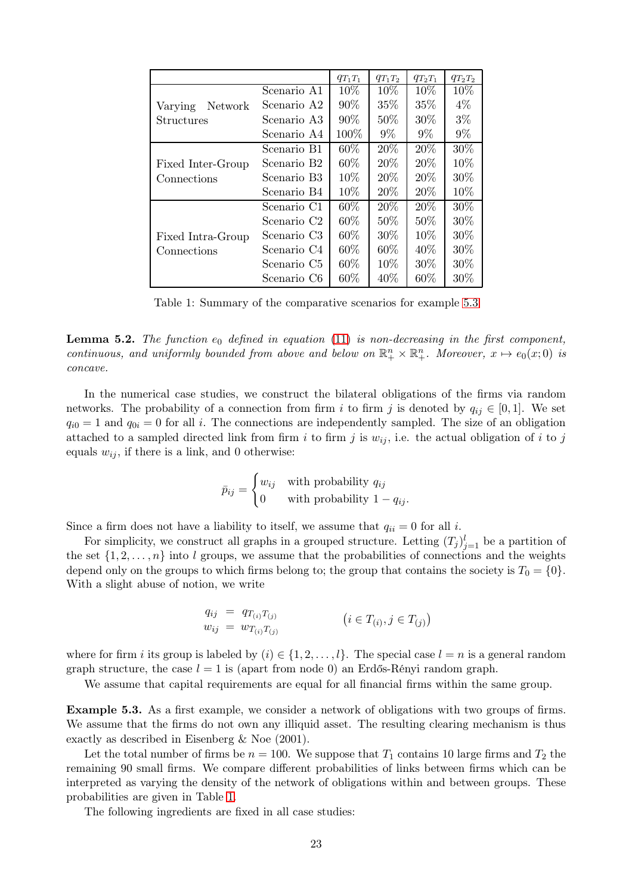|                    |                         | $q_{T_1T_1}$ | $q_{T_1T_2}$ | $q_{T_2T_1}$ | $q_{T_2T_2}$ |
|--------------------|-------------------------|--------------|--------------|--------------|--------------|
|                    | Scenario A1             | 10%          | 10%          | 10\%         | 10%          |
| Network<br>Varying | Scenario A2             | 90%          | 35%          | 35%          | $4\%$        |
| Structures         | Scenario A3             | 90%          | 50%          | 30\%         | $3\%$        |
|                    | Scenario A4             | 100%         | $9\%$        | $9\%$        | $9\%$        |
|                    | Scenario B1             | $60\%$       | 20%          | $20\%$       | 30\%         |
| Fixed Inter-Group  | Scenario B <sub>2</sub> | $60\%$       | 20\%         | 20\%         | 10\%         |
| Connections        | Scenario B <sub>3</sub> | 10\%         | 20\%         | 20\%         | 30\%         |
|                    | Scenario B4             | 10\%         | 20\%         | 20\%         | 10%          |
|                    | Scenario C1             | $60\%$       | $20\%$       | $20\%$       | 30\%         |
|                    | Scenario C <sub>2</sub> | 60\%         | $50\%$       | 50%          | 30%          |
| Fixed Intra-Group  | Scenario C <sub>3</sub> | $60\%$       | $30\%$       | 10\%         | 30\%         |
| Connections        | Scenario C4             | $60\%$       | $60\%$       | $40\%$       | 30%          |
|                    | Scenario C <sub>5</sub> | 60\%         | 10\%         | 30\%         | 30\%         |
|                    | Scenario C <sub>6</sub> | 60\%         | 40\%         | 60%          | 30%          |

<span id="page-22-1"></span>Table 1: Summary of the comparative scenarios for example [5.3](#page-22-0)

**Lemma 5.2.** The function  $e_0$  defined in equation [\(11\)](#page-21-4) is non-decreasing in the first component, continuous, and uniformly bounded from above and below on  $\mathbb{R}^n_+ \times \mathbb{R}^n_+$ . Moreover,  $x \mapsto e_0(x;0)$  is concave.

In the numerical case studies, we construct the bilateral obligations of the firms via random networks. The probability of a connection from firm i to firm j is denoted by  $q_{ij} \in [0,1]$ . We set  $q_{i0} = 1$  and  $q_{0i} = 0$  for all i. The connections are independently sampled. The size of an obligation attached to a sampled directed link from firm i to firm j is  $w_{ij}$ , i.e. the actual obligation of i to j equals  $w_{ij}$ , if there is a link, and 0 otherwise:

$$
\bar{p}_{ij} = \begin{cases} w_{ij} & \text{with probability } q_{ij} \\ 0 & \text{with probability } 1 - q_{ij}. \end{cases}
$$

Since a firm does not have a liability to itself, we assume that  $q_{ii} = 0$  for all i.

For simplicity, we construct all graphs in a grouped structure. Letting  $(T_j)_{j=1}^l$  be a partition of the set  $\{1, 2, \ldots, n\}$  into l groups, we assume that the probabilities of connections and the weights depend only on the groups to which firms belong to; the group that contains the society is  $T_0 = \{0\}$ . With a slight abuse of notion, we write

$$
q_{ij} = q_{T_{(i)}T_{(j)}} \n w_{ij} = w_{T_{(i)}T_{(j)}} \qquad (i \in T_{(i)}, j \in T_{(j)})
$$

where for firm i its group is labeled by  $(i) \in \{1, 2, ..., l\}$ . The special case  $l = n$  is a general random graph structure, the case  $l = 1$  is (apart from node 0) an Erdős-Rényi random graph.

<span id="page-22-0"></span>We assume that capital requirements are equal for all financial firms within the same group.

Example 5.3. As a first example, we consider a network of obligations with two groups of firms. We assume that the firms do not own any illiquid asset. The resulting clearing mechanism is thus exactly as described in Eisenberg & Noe (2001).

Let the total number of firms be  $n = 100$ . We suppose that  $T_1$  contains 10 large firms and  $T_2$  the remaining 90 small firms. We compare different probabilities of links between firms which can be interpreted as varying the density of the network of obligations within and between groups. These probabilities are given in Table [1.](#page-22-1)

The following ingredients are fixed in all case studies: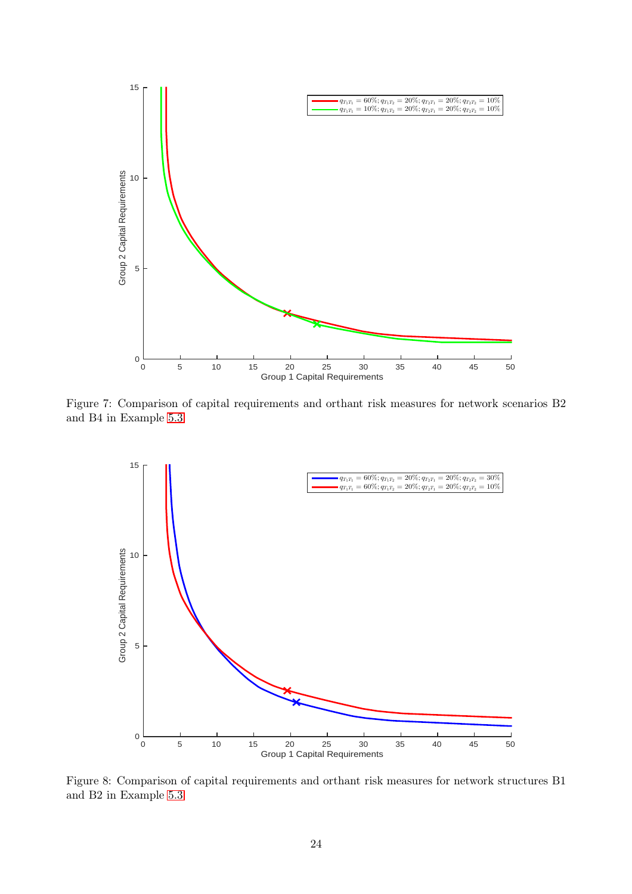

Figure 7: Comparison of capital requirements and orthant risk measures for network scenarios B2 and B4 in Example [5.3](#page-22-0)

<span id="page-23-0"></span>

<span id="page-23-1"></span>Figure 8: Comparison of capital requirements and orthant risk measures for network structures B1 and B2 in Example [5.3](#page-22-0)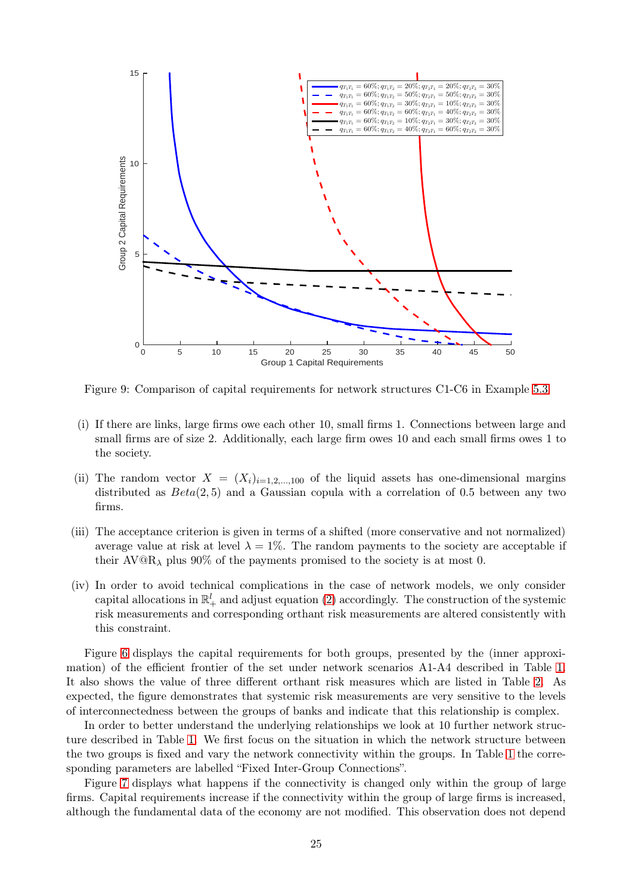

<span id="page-24-0"></span>Figure 9: Comparison of capital requirements for network structures C1-C6 in Example [5.3](#page-22-0)

- (i) If there are links, large firms owe each other 10, small firms 1. Connections between large and small firms are of size 2. Additionally, each large firm owes 10 and each small firms owes 1 to the society.
- (ii) The random vector  $X = (X_i)_{i=1,2,...,100}$  of the liquid assets has one-dimensional margins distributed as  $Beta(2, 5)$  and a Gaussian copula with a correlation of 0.5 between any two firms.
- (iii) The acceptance criterion is given in terms of a shifted (more conservative and not normalized) average value at risk at level  $\lambda = 1\%$ . The random payments to the society are acceptable if their  $AV@R<sub>\lambda</sub>$  plus 90% of the payments promised to the society is at most 0.
- (iv) In order to avoid technical complications in the case of network models, we only consider capital allocations in  $\mathbb{R}^l_+$  and adjust equation [\(2\)](#page-5-1) accordingly. The construction of the systemic risk measurements and corresponding orthant risk measurements are altered consistently with this constraint.

Figure [6](#page-20-1) displays the capital requirements for both groups, presented by the (inner approximation) of the efficient frontier of the set under network scenarios A1-A4 described in Table [1.](#page-22-1) It also shows the value of three different orthant risk measures which are listed in Table [2.](#page-25-0) As expected, the figure demonstrates that systemic risk measurements are very sensitive to the levels of interconnectedness between the groups of banks and indicate that this relationship is complex.

In order to better understand the underlying relationships we look at 10 further network structure described in Table [1.](#page-22-1) We first focus on the situation in which the network structure between the two groups is fixed and vary the network connectivity within the groups. In Table [1](#page-22-1) the corresponding parameters are labelled "Fixed Inter-Group Connections".

Figure [7](#page-23-0) displays what happens if the connectivity is changed only within the group of large firms. Capital requirements increase if the connectivity within the group of large firms is increased, although the fundamental data of the economy are not modified. This observation does not depend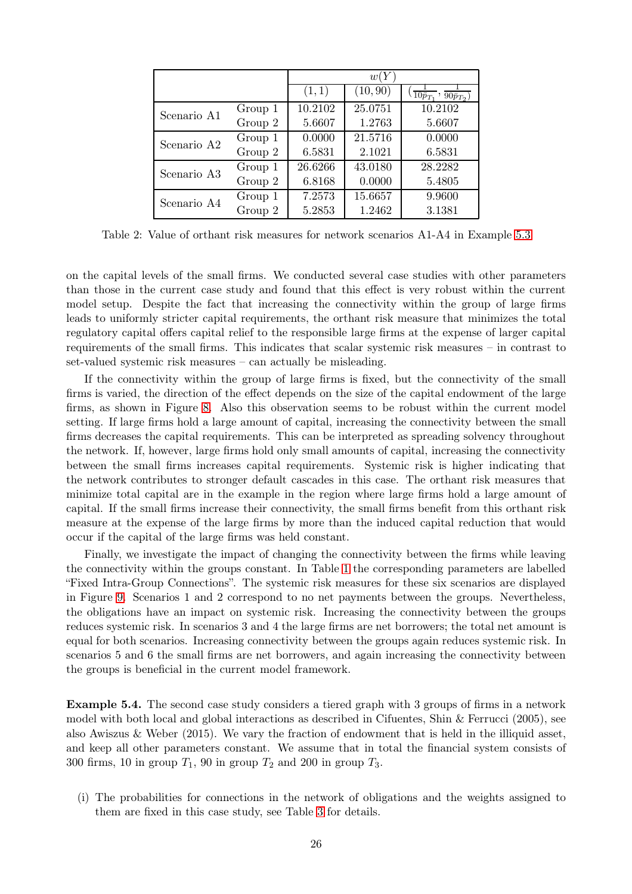|             |         | w(Y)    |          |                                                    |
|-------------|---------|---------|----------|----------------------------------------------------|
|             |         | (1,1)   | (10, 90) | $\sqrt{10\bar{p}_{T_1}}$<br>$\overline{90p}_{T_2}$ |
| Scenario A1 | Group 1 | 10.2102 | 25.0751  | 10.2102                                            |
|             | Group 2 | 5.6607  | 1.2763   | 5.6607                                             |
| Scenario A2 | Group 1 | 0.0000  | 21.5716  | 0.0000                                             |
|             | Group 2 | 6.5831  | 2.1021   | 6.5831                                             |
| Scenario A3 | Group 1 | 26.6266 | 43.0180  | 28.2282                                            |
|             | Group 2 | 6.8168  | 0.0000   | 5.4805                                             |
| Scenario A4 | Group 1 | 7.2573  | 15.6657  | 9.9600                                             |
|             | Group 2 | 5.2853  | 1.2462   | 3.1381                                             |

<span id="page-25-0"></span>Table 2: Value of orthant risk measures for network scenarios A1-A4 in Example [5.3](#page-22-0)

on the capital levels of the small firms. We conducted several case studies with other parameters than those in the current case study and found that this effect is very robust within the current model setup. Despite the fact that increasing the connectivity within the group of large firms leads to uniformly stricter capital requirements, the orthant risk measure that minimizes the total regulatory capital offers capital relief to the responsible large firms at the expense of larger capital requirements of the small firms. This indicates that scalar systemic risk measures – in contrast to set-valued systemic risk measures – can actually be misleading.

If the connectivity within the group of large firms is fixed, but the connectivity of the small firms is varied, the direction of the effect depends on the size of the capital endowment of the large firms, as shown in Figure [8.](#page-23-1) Also this observation seems to be robust within the current model setting. If large firms hold a large amount of capital, increasing the connectivity between the small firms decreases the capital requirements. This can be interpreted as spreading solvency throughout the network. If, however, large firms hold only small amounts of capital, increasing the connectivity between the small firms increases capital requirements. Systemic risk is higher indicating that the network contributes to stronger default cascades in this case. The orthant risk measures that minimize total capital are in the example in the region where large firms hold a large amount of capital. If the small firms increase their connectivity, the small firms benefit from this orthant risk measure at the expense of the large firms by more than the induced capital reduction that would occur if the capital of the large firms was held constant.

Finally, we investigate the impact of changing the connectivity between the firms while leaving the connectivity within the groups constant. In Table [1](#page-22-1) the corresponding parameters are labelled "Fixed Intra-Group Connections". The systemic risk measures for these six scenarios are displayed in Figure [9.](#page-24-0) Scenarios 1 and 2 correspond to no net payments between the groups. Nevertheless, the obligations have an impact on systemic risk. Increasing the connectivity between the groups reduces systemic risk. In scenarios 3 and 4 the large firms are net borrowers; the total net amount is equal for both scenarios. Increasing connectivity between the groups again reduces systemic risk. In scenarios 5 and 6 the small firms are net borrowers, and again increasing the connectivity between the groups is beneficial in the current model framework.

<span id="page-25-1"></span>Example 5.4. The second case study considers a tiered graph with 3 groups of firms in a network model with both local and global interactions as described in Cifuentes, Shin & Ferrucci (2005), see also Awiszus & Weber  $(2015)$ . We vary the fraction of endowment that is held in the illiquid asset, and keep all other parameters constant. We assume that in total the financial system consists of 300 firms, 10 in group  $T_1$ , 90 in group  $T_2$  and 200 in group  $T_3$ .

(i) The probabilities for connections in the network of obligations and the weights assigned to them are fixed in this case study, see Table [3](#page-27-0) for details.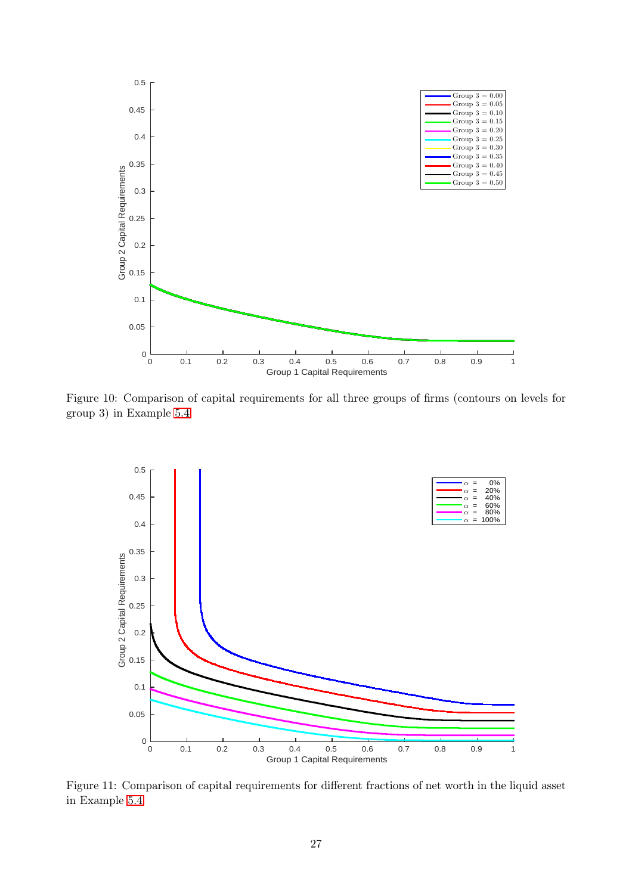

Figure 10: Comparison of capital requirements for all three groups of firms (contours on levels for group 3) in Example [5.4](#page-25-1)

<span id="page-26-0"></span>

<span id="page-26-1"></span>Figure 11: Comparison of capital requirements for different fractions of net worth in the liquid asset in Example [5.4](#page-25-1)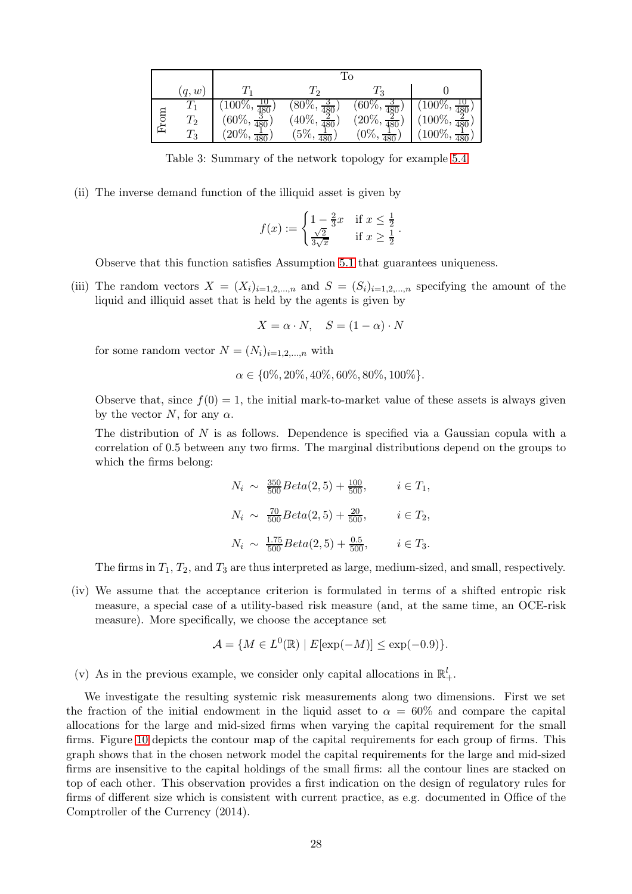|      |                    | Τo                        |                                                     |                                |                           |  |  |
|------|--------------------|---------------------------|-----------------------------------------------------|--------------------------------|---------------------------|--|--|
|      | (q,w)              |                           |                                                     | 13                             |                           |  |  |
|      | $\scriptstyle T_1$ | $(100\%, \frac{10}{480})$ |                                                     | $(60\%, \frac{3}{480})$        | $(100\%, \frac{10}{480})$ |  |  |
| IIO. | $T_2$              | $(60\%, \frac{3}{480})$   | $\frac{(80\%,\frac{3}{480})}{(40\%,\frac{2}{480})}$ | $(20\%, \frac{2}{480})$<br>480 | $(100\%, \frac{2}{480})$  |  |  |
|      | $\scriptstyle T_3$ | $(20\%, \frac{1}{480})$   | $'5\%,$                                             | $'0\%,$                        | $\frac{1}{480}$           |  |  |

<span id="page-27-0"></span>Table 3: Summary of the network topology for example [5.4](#page-25-1)

(ii) The inverse demand function of the illiquid asset is given by

$$
f(x) := \begin{cases} 1 - \frac{2}{3}x & \text{if } x \le \frac{1}{2} \\ \frac{\sqrt{2}}{3\sqrt{x}} & \text{if } x \ge \frac{1}{2} \end{cases}.
$$

Observe that this function satisfies Assumption [5.1](#page-21-3) that guarantees uniqueness.

(iii) The random vectors  $X = (X_i)_{i=1,2,...,n}$  and  $S = (S_i)_{i=1,2,...,n}$  specifying the amount of the liquid and illiquid asset that is held by the agents is given by

$$
X = \alpha \cdot N, \quad S = (1 - \alpha) \cdot N
$$

for some random vector  $N = (N_i)_{i=1,2,...,n}$  with

$$
\alpha \in \{0\%, 20\%, 40\%, 60\%, 80\%, 100\%\}.
$$

Observe that, since  $f(0) = 1$ , the initial mark-to-market value of these assets is always given by the vector N, for any  $\alpha$ .

The distribution of N is as follows. Dependence is specified via a Gaussian copula with a correlation of 0.5 between any two firms. The marginal distributions depend on the groups to which the firms belong:

$$
N_i \sim \frac{350}{500} Beta(2, 5) + \frac{100}{500}, \qquad i \in T_1,
$$
  
\n
$$
N_i \sim \frac{70}{500} Beta(2, 5) + \frac{20}{500}, \qquad i \in T_2,
$$
  
\n
$$
N_i \sim \frac{1.75}{500} Beta(2, 5) + \frac{0.5}{500}, \qquad i \in T_3.
$$

The firms in  $T_1, T_2$ , and  $T_3$  are thus interpreted as large, medium-sized, and small, respectively.

(iv) We assume that the acceptance criterion is formulated in terms of a shifted entropic risk measure, a special case of a utility-based risk measure (and, at the same time, an OCE-risk measure). More specifically, we choose the acceptance set

$$
\mathcal{A} = \{ M \in L^0(\mathbb{R}) \mid E[\exp(-M)] \le \exp(-0.9) \}.
$$

(v) As in the previous example, we consider only capital allocations in  $\mathbb{R}^l_+$ .

We investigate the resulting systemic risk measurements along two dimensions. First we set the fraction of the initial endowment in the liquid asset to  $\alpha = 60\%$  and compare the capital allocations for the large and mid-sized firms when varying the capital requirement for the small firms. Figure [10](#page-26-0) depicts the contour map of the capital requirements for each group of firms. This graph shows that in the chosen network model the capital requirements for the large and mid-sized firms are insensitive to the capital holdings of the small firms: all the contour lines are stacked on top of each other. This observation provides a first indication on the design of regulatory rules for firms of different size which is consistent with current practice, as e.g. documented in Office of the Comptroller of the Currency (2014).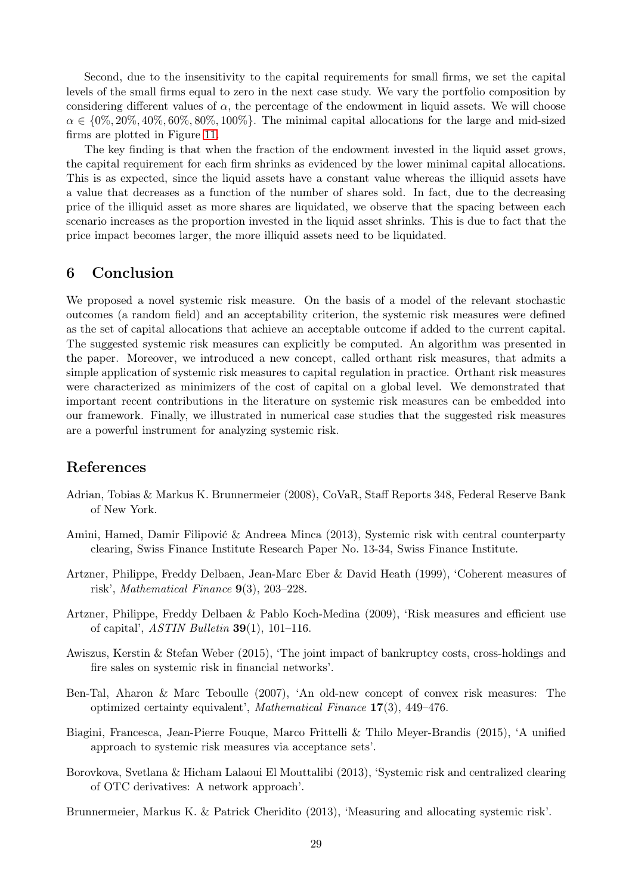Second, due to the insensitivity to the capital requirements for small firms, we set the capital levels of the small firms equal to zero in the next case study. We vary the portfolio composition by considering different values of  $\alpha$ , the percentage of the endowment in liquid assets. We will choose  $\alpha \in \{0\%, 20\%, 40\%, 60\%, 80\%, 100\% \}$ . The minimal capital allocations for the large and mid-sized firms are plotted in Figure [11.](#page-26-1)

The key finding is that when the fraction of the endowment invested in the liquid asset grows, the capital requirement for each firm shrinks as evidenced by the lower minimal capital allocations. This is as expected, since the liquid assets have a constant value whereas the illiquid assets have a value that decreases as a function of the number of shares sold. In fact, due to the decreasing price of the illiquid asset as more shares are liquidated, we observe that the spacing between each scenario increases as the proportion invested in the liquid asset shrinks. This is due to fact that the price impact becomes larger, the more illiquid assets need to be liquidated.

# 6 Conclusion

We proposed a novel systemic risk measure. On the basis of a model of the relevant stochastic outcomes (a random field) and an acceptability criterion, the systemic risk measures were defined as the set of capital allocations that achieve an acceptable outcome if added to the current capital. The suggested systemic risk measures can explicitly be computed. An algorithm was presented in the paper. Moreover, we introduced a new concept, called orthant risk measures, that admits a simple application of systemic risk measures to capital regulation in practice. Orthant risk measures were characterized as minimizers of the cost of capital on a global level. We demonstrated that important recent contributions in the literature on systemic risk measures can be embedded into our framework. Finally, we illustrated in numerical case studies that the suggested risk measures are a powerful instrument for analyzing systemic risk.

### References

- Adrian, Tobias & Markus K. Brunnermeier (2008), CoVaR, Staff Reports 348, Federal Reserve Bank of New York.
- Amini, Hamed, Damir Filipović & Andreea Minca (2013), Systemic risk with central counterparty clearing, Swiss Finance Institute Research Paper No. 13-34, Swiss Finance Institute.
- Artzner, Philippe, Freddy Delbaen, Jean-Marc Eber & David Heath (1999), 'Coherent measures of risk', Mathematical Finance 9(3), 203–228.
- Artzner, Philippe, Freddy Delbaen & Pablo Koch-Medina (2009), 'Risk measures and efficient use of capital',  $ASTIN$  Bulletin  $39(1)$ , 101–116.
- Awiszus, Kerstin & Stefan Weber (2015), 'The joint impact of bankruptcy costs, cross-holdings and fire sales on systemic risk in financial networks'.
- Ben-Tal, Aharon & Marc Teboulle (2007), 'An old-new concept of convex risk measures: The optimized certainty equivalent', Mathematical Finance 17(3), 449–476.
- Biagini, Francesca, Jean-Pierre Fouque, Marco Frittelli & Thilo Meyer-Brandis (2015), 'A unified approach to systemic risk measures via acceptance sets'.
- Borovkova, Svetlana & Hicham Lalaoui El Mouttalibi (2013), 'Systemic risk and centralized clearing of OTC derivatives: A network approach'.
- Brunnermeier, Markus K. & Patrick Cheridito (2013), 'Measuring and allocating systemic risk'.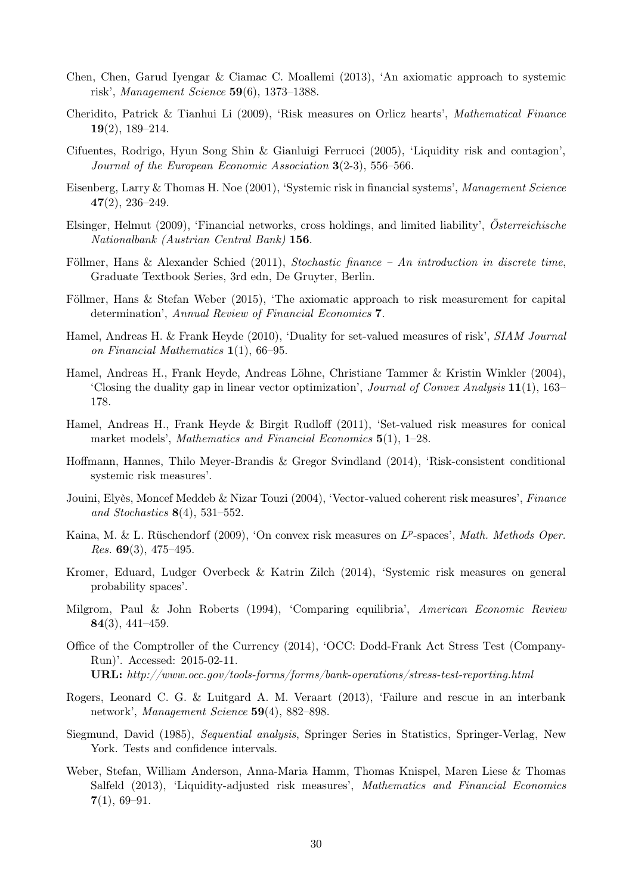- Chen, Chen, Garud Iyengar & Ciamac C. Moallemi (2013), 'An axiomatic approach to systemic risk', Management Science  $59(6)$ , 1373–1388.
- Cheridito, Patrick & Tianhui Li (2009), 'Risk measures on Orlicz hearts', Mathematical Finance 19(2), 189–214.
- Cifuentes, Rodrigo, Hyun Song Shin & Gianluigi Ferrucci (2005), 'Liquidity risk and contagion', Journal of the European Economic Association 3(2-3), 556–566.
- Eisenberg, Larry & Thomas H. Noe (2001), 'Systemic risk in financial systems', Management Science 47(2), 236–249.
- Elsinger, Helmut (2009), 'Financial networks, cross holdings, and limited liability', Österreichische Nationalbank (Austrian Central Bank) 156.
- Föllmer, Hans & Alexander Schied (2011), Stochastic finance An introduction in discrete time, Graduate Textbook Series, 3rd edn, De Gruyter, Berlin.
- Föllmer, Hans & Stefan Weber (2015), 'The axiomatic approach to risk measurement for capital determination', Annual Review of Financial Economics 7.
- Hamel, Andreas H. & Frank Heyde (2010), 'Duality for set-valued measures of risk', SIAM Journal on Financial Mathematics 1(1), 66–95.
- Hamel, Andreas H., Frank Heyde, Andreas Löhne, Christiane Tammer & Kristin Winkler (2004), 'Closing the duality gap in linear vector optimization', *Journal of Convex Analysis*  $11(1)$ , 163– 178.
- Hamel, Andreas H., Frank Heyde & Birgit Rudloff (2011), 'Set-valued risk measures for conical market models', Mathematics and Financial Economics 5(1), 1–28.
- Hoffmann, Hannes, Thilo Meyer-Brandis & Gregor Svindland (2014), 'Risk-consistent conditional systemic risk measures'.
- Jouini, Elyès, Moncef Meddeb & Nizar Touzi (2004), 'Vector-valued coherent risk measures', Finance and Stochastics  $8(4)$ , 531–552.
- Kaina, M. & L. Rüschendorf (2009), 'On convex risk measures on  $L^p$ -spaces', Math. Methods Oper. *Res.* 69(3), 475–495.
- Kromer, Eduard, Ludger Overbeck & Katrin Zilch (2014), 'Systemic risk measures on general probability spaces'.
- Milgrom, Paul & John Roberts (1994), 'Comparing equilibria', American Economic Review 84(3), 441–459.
- Office of the Comptroller of the Currency (2014), 'OCC: Dodd-Frank Act Stress Test (Company-Run)'. Accessed: 2015-02-11. URL: http://www.occ.gov/tools-forms/forms/bank-operations/stress-test-reporting.html
- Rogers, Leonard C. G. & Luitgard A. M. Veraart (2013), 'Failure and rescue in an interbank network', Management Science 59(4), 882–898.
- Siegmund, David (1985), Sequential analysis, Springer Series in Statistics, Springer-Verlag, New York. Tests and confidence intervals.
- Weber, Stefan, William Anderson, Anna-Maria Hamm, Thomas Knispel, Maren Liese & Thomas Salfeld (2013), 'Liquidity-adjusted risk measures', Mathematics and Financial Economics  $7(1), 69-91.$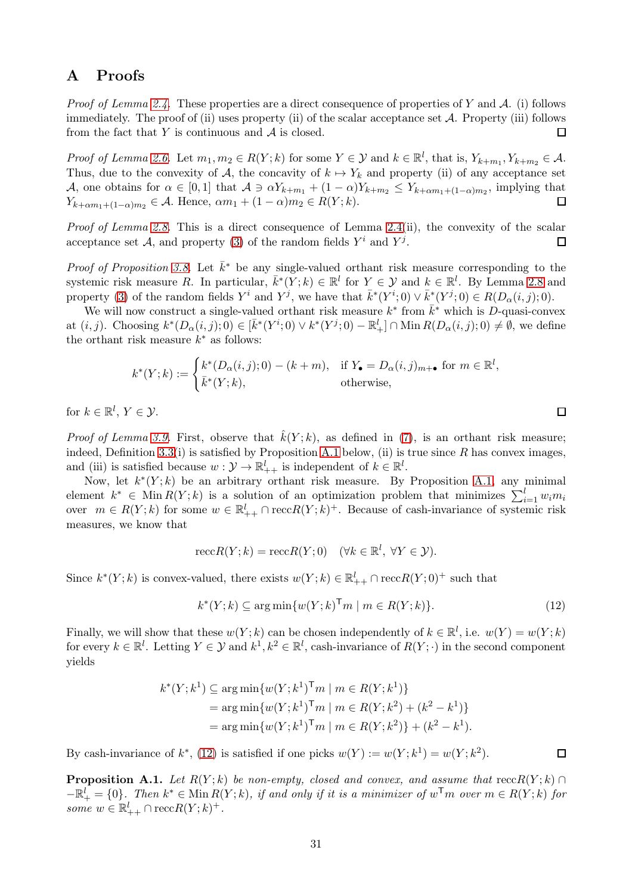# A Proofs

*Proof of Lemma [2.4.](#page-6-0)* These properties are a direct consequence of properties of Y and A. (i) follows immediately. The proof of (ii) uses property (ii) of the scalar acceptance set  $A$ . Property (iii) follows from the fact that  $Y$  is continuous and  $A$  is closed. П

Proof of Lemma [2.6.](#page-6-1) Let  $m_1, m_2 \in R(Y; k)$  for some  $Y \in \mathcal{Y}$  and  $k \in \mathbb{R}^l$ , that is,  $Y_{k+m_1}, Y_{k+m_2} \in \mathcal{A}$ . Thus, due to the convexity of A, the concavity of  $k \mapsto Y_k$  and property (ii) of any acceptance set A, one obtains for  $\alpha \in [0,1]$  that  $\mathcal{A} \ni \alpha Y_{k+m_1} + (1-\alpha)Y_{k+m_2} \leq Y_{k+\alpha m_1+(1-\alpha)m_2}$ , implying that  $Y_{k+\alpha m_1+(1-\alpha)m_2} \in \mathcal{A}$ . Hence,  $\alpha m_1 + (1-\alpha)m_2 \in R(Y;k)$ .  $\Box$ 

Proof of Lemma [2.8.](#page-7-1) This is a direct consequence of Lemma [2.4\(](#page-6-0)ii), the convexity of the scalar acceptance set A, and property [\(3\)](#page-7-3) of the random fields  $Y^i$  and  $Y^j$ .  $\Box$ 

*Proof of Proposition [3.8.](#page-11-2)* Let  $\bar{k}^*$  be any single-valued orthant risk measure corresponding to the systemic risk measure R. In particular,  $\bar{k}^*(Y;k) \in \mathbb{R}^l$  for  $Y \in \mathcal{Y}$  and  $k \in \mathbb{R}^l$ . By Lemma [2.8](#page-7-1) and property [\(3\)](#page-7-3) of the random fields  $Y^i$  and  $Y^j$ , we have that  $\bar{k}^*(Y^i;0) \vee \bar{k}^*(Y^j;0) \in R(D_\alpha(i,j);0)$ .

We will now construct a single-valued orthant risk measure  $k^*$  from  $\bar{k}^*$  which is D-quasi-convex at  $(i, j)$ . Choosing  $k^*(D_\alpha(i, j); 0) \in [\bar{k}^*(Y^i; 0) \vee k^*(Y^j; 0) - \mathbb{R}^l_+] \cap \text{Min } R(D_\alpha(i, j); 0) \neq \emptyset$ , we define the orthant risk measure  $k^*$  as follows:

$$
k^*(Y;k) := \begin{cases} k^*(D_{\alpha}(i,j);0) - (k+m), & \text{if } Y_{\bullet} = D_{\alpha}(i,j)_{m+\bullet} \text{ for } m \in \mathbb{R}^l, \\ \bar{k}^*(Y;k), & \text{otherwise,} \end{cases}
$$

for  $k \in \mathbb{R}^l$ ,  $Y \in \mathcal{Y}$ .

*Proof of Lemma [3.9.](#page-11-0)* First, observe that  $\hat{k}(Y; k)$ , as defined in [\(7\)](#page-11-1), is an orthant risk measure; indeed, Definition [3.3\(](#page-10-1)i) is satisfied by Proposition [A.1](#page-30-0) below, (ii) is true since R has convex images, and (iii) is satisfied because  $w: \mathcal{Y} \to \mathbb{R}^l_{++}$  is independent of  $k \in \mathbb{R}^l$ .

Now, let  $k^*(Y; k)$  be an arbitrary orthant risk measure. By Proposition [A.1,](#page-30-0) any minimal element  $k^* \in \text{Min } R(Y; k)$  is a solution of an optimization problem that minimizes  $\sum_{i=1}^{l} w_i m_i$ over  $m \in R(Y; k)$  for some  $w \in \mathbb{R}^l_{++} \cap \text{recc} R(Y; k)^+$ . Because of cash-invariance of systemic risk measures, we know that

$$
\operatorname{recc} R(Y;k) = \operatorname{recc} R(Y;0) \quad (\forall k \in \mathbb{R}^l, \ \forall Y \in \mathcal{Y}).
$$

Since  $k^*(Y; k)$  is convex-valued, there exists  $w(Y; k) \in \mathbb{R}^l_{++} \cap \text{rec } R(Y; 0)^+$  such that

$$
k^*(Y;k) \subseteq \arg\min\{w(Y;k)^{\mathsf{T}}m \mid m \in R(Y;k)\}.
$$
\n
$$
(12)
$$

Finally, we will show that these  $w(Y; k)$  can be chosen independently of  $k \in \mathbb{R}^l$ , i.e.  $w(Y) = w(Y; k)$ for every  $k \in \mathbb{R}^l$ . Letting  $Y \in \mathcal{Y}$  and  $k^1, k^2 \in \mathbb{R}^l$ , cash-invariance of  $R(Y; \cdot)$  in the second component yields

$$
k^*(Y; k^1) \subseteq \arg\min \{ w(Y; k^1)^\mathsf{T} m \mid m \in R(Y; k^1) \}
$$
  
= 
$$
\arg\min \{ w(Y; k^1)^\mathsf{T} m \mid m \in R(Y; k^2) + (k^2 - k^1) \}
$$
  
= 
$$
\arg\min \{ w(Y; k^1)^\mathsf{T} m \mid m \in R(Y; k^2) \} + (k^2 - k^1).
$$

By cash-invariance of  $k^*$ , [\(12\)](#page-30-1) is satisfied if one picks  $w(Y) := w(Y; k^1) = w(Y; k^2)$ .

<span id="page-30-0"></span>**Proposition A.1.** Let  $R(Y; k)$  be non-empty, closed and convex, and assume that  $reccR(Y; k)$  $-\mathbb{R}^l_+ = \{0\}$ . Then  $k^* \in \text{Min } R(Y; k)$ , if and only if it is a minimizer of  $w^{\mathsf{T}} m$  over  $m \in R(Y; k)$  for some  $w \in \mathbb{R}^l_{++} \cap \text{recc}R(Y;k)^+$ .

<span id="page-30-1"></span> $\square$ 

 $\Box$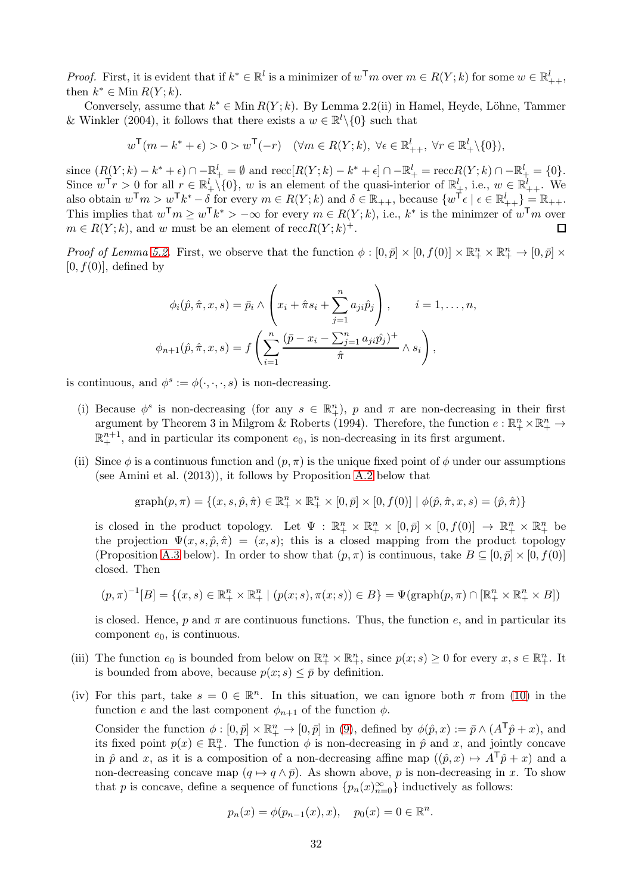*Proof.* First, it is evident that if  $k^* \in \mathbb{R}^l$  is a minimizer of  $w^{\mathsf{T}}m$  over  $m \in R(Y; k)$  for some  $w \in \mathbb{R}^l_{++}$ , then  $k^* \in \text{Min } R(Y; k)$ .

Conversely, assume that  $k^* \in \text{Min } R(Y; k)$ . By Lemma 2.2(ii) in Hamel, Heyde, Löhne, Tammer & Winkler (2004), it follows that there exists a  $w \in \mathbb{R}^l \setminus \{0\}$  such that

$$
w^{\mathsf{T}}(m-k^*+\epsilon) > 0 > w^{\mathsf{T}}(-r) \quad (\forall m \in R(Y;k), \ \forall \epsilon \in \mathbb{R}^l_{++}, \ \forall r \in \mathbb{R}^l_{+} \setminus \{0\}),
$$

since  $(R(Y; k) - k^* + \epsilon) \cap -\mathbb{R}^l_+ = \emptyset$  and  $\text{recc}[R(Y; k) - k^* + \epsilon] \cap -\mathbb{R}^l_+ = \text{recc}R(Y; k) \cap -\mathbb{R}^l_+ = \{0\}.$ Since  $w^{\mathsf{T}} r > 0$  for all  $r \in \mathbb{R}^l_+ \setminus \{0\}$ , w is an element of the quasi-interior of  $\mathbb{R}^l_+$ , i.e.,  $w \in \mathbb{R}^l_{++}$ . We also obtain  $w^{\mathsf{T}} m > w^{\mathsf{T}} k^* - \delta$  for every  $m \in R(Y; k)$  and  $\delta \in \mathbb{R}_{++}$ , because  $\{w^{\mathsf{T}} \epsilon \mid \epsilon \in \mathbb{R}_{++}^l\} = \mathbb{R}_{++}$ . This implies that  $w^{\mathsf{T}}m \geq w^{\mathsf{T}}k^* > -\infty$  for every  $m \in R(Y; k)$ , i.e.,  $k^*$  is the minimzer of  $w^{\mathsf{T}}m$  over  $m \in R(Y; k)$ , and w must be an element of  $reccR(Y; k)^+$ .

Proof of Lemma [5.2.](#page-21-5) First, we observe that the function  $\phi : [0, \bar{p}] \times [0, f(0)] \times \mathbb{R}^n_+ \times \mathbb{R}^n_+ \to [0, \bar{p}] \times$  $[0, f(0)]$ , defined by

$$
\phi_i(\hat{p}, \hat{\pi}, x, s) = \bar{p}_i \wedge \left( x_i + \hat{\pi} s_i + \sum_{j=1}^n a_{ji} \hat{p}_j \right), \qquad i = 1, \dots, n,
$$
  

$$
\phi_{n+1}(\hat{p}, \hat{\pi}, x, s) = f\left( \sum_{i=1}^n \frac{(\bar{p} - x_i - \sum_{j=1}^n a_{ji} \hat{p}_j)^+}{\hat{\pi}} \wedge s_i \right),
$$

is continuous, and  $\phi^s := \phi(\cdot, \cdot, \cdot, s)$  is non-decreasing.

- (i) Because  $\phi^s$  is non-decreasing (for any  $s \in \mathbb{R}^n_+$ ), p and  $\pi$  are non-decreasing in their first argument by Theorem 3 in Milgrom & Roberts (1994). Therefore, the function  $e: \mathbb{R}^n_+ \times \mathbb{R}^n_+ \to$  $\mathbb{R}^{n+1}_+$ , and in particular its component  $e_0$ , is non-decreasing in its first argument.
- (ii) Since  $\phi$  is a continuous function and  $(p, \pi)$  is the unique fixed point of  $\phi$  under our assumptions (see Amini et al. (2013)), it follows by Proposition [A.2](#page-32-0) below that

$$
\text{graph}(p, \pi) = \{(x, s, \hat{p}, \hat{\pi}) \in \mathbb{R}^n_+ \times \mathbb{R}^n_+ \times [0, \bar{p}] \times [0, f(0)] \mid \phi(\hat{p}, \hat{\pi}, x, s) = (\hat{p}, \hat{\pi})\}
$$

is closed in the product topology. Let  $\Psi : \mathbb{R}^n_+ \times \mathbb{R}^n_+ \times [0, \bar{p}] \times [0, f(0)] \to \mathbb{R}^n_+ \times \mathbb{R}^n_+$  be the projection  $\Psi(x, s, \hat{p}, \hat{\pi}) = (x, s)$ ; this is a closed mapping from the product topology (Proposition [A.3](#page-32-1) below). In order to show that  $(p, \pi)$  is continuous, take  $B \subseteq [0, \bar{p}] \times [0, f(0)]$ closed. Then

$$
(p,\pi)^{-1}[B] = \{(x,s) \in \mathbb{R}^n_+ \times \mathbb{R}^n_+ \mid (p(x;s),\pi(x;s)) \in B\} = \Psi(\text{graph}(p,\pi) \cap [\mathbb{R}^n_+ \times \mathbb{R}^n_+ \times B])
$$

is closed. Hence, p and  $\pi$  are continuous functions. Thus, the function e, and in particular its component  $e_0$ , is continuous.

- (iii) The function  $e_0$  is bounded from below on  $\mathbb{R}^n_+ \times \mathbb{R}^n_+$ , since  $p(x; s) \geq 0$  for every  $x, s \in \mathbb{R}^n_+$ . It is bounded from above, because  $p(x; s) \leq \bar{p}$  by definition.
- (iv) For this part, take  $s = 0 \in \mathbb{R}^n$ . In this situation, we can ignore both  $\pi$  from [\(10\)](#page-21-2) in the function e and the last component  $\phi_{n+1}$  of the function  $\phi$ .

Consider the function  $\phi : [0, \bar{p}] \times \mathbb{R}^n_+ \to [0, \bar{p}]$  in [\(9\)](#page-21-1), defined by  $\phi(\hat{p}, x) := \bar{p} \wedge (A^{\mathsf{T}}\hat{p} + x)$ , and its fixed point  $p(x) \in \mathbb{R}^n_+$ . The function  $\phi$  is non-decreasing in  $\hat{p}$  and x, and jointly concave in  $\hat{p}$  and x, as it is a composition of a non-decreasing affine map  $((\hat{p}, x) \mapsto A^{\mathsf{T}}\hat{p} + x)$  and a non-decreasing concave map  $(q \mapsto q \wedge \bar{p})$ . As shown above, p is non-decreasing in x. To show that p is concave, define a sequence of functions  $\{p_n(x)_{n=0}^{\infty}\}\$  inductively as follows:

$$
p_n(x) = \phi(p_{n-1}(x), x), \quad p_0(x) = 0 \in \mathbb{R}^n.
$$